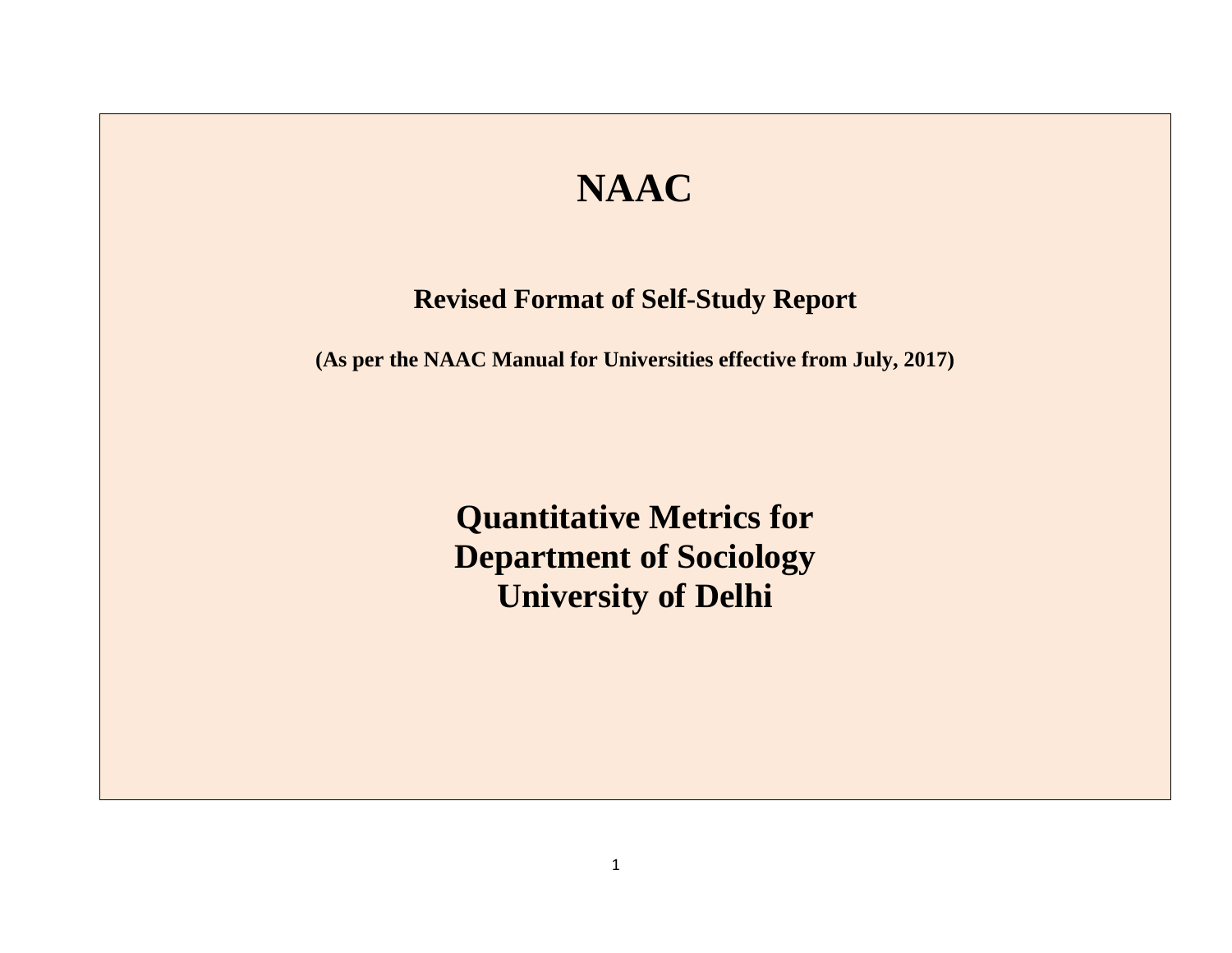## **NAAC**

## **Revised Format of Self-Study Report**

**(As per the NAAC Manual for Universities effective from July, 2017)**

**Quantitative Metrics for Department of Sociology University of Delhi**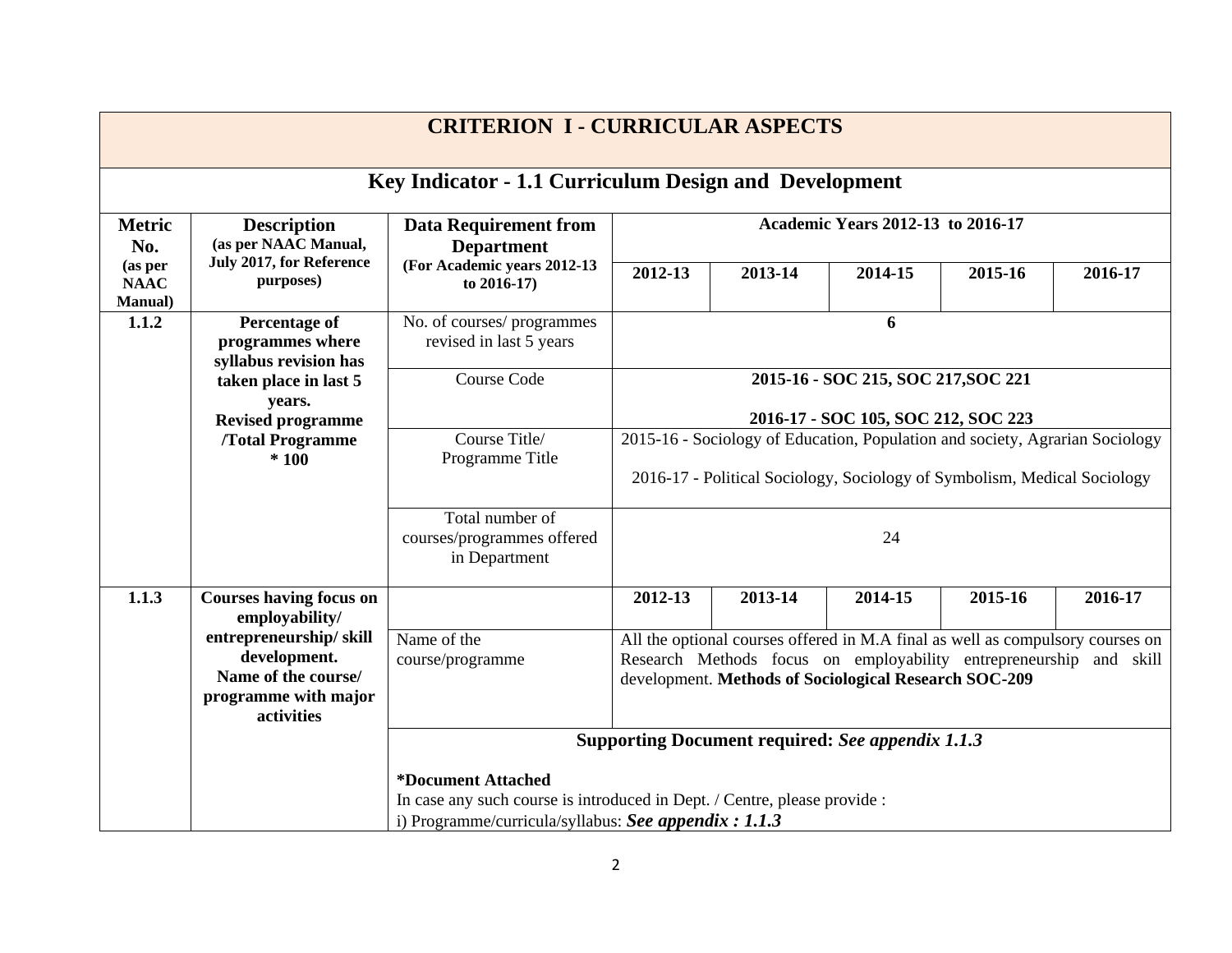|                                           |                                                                                                     | <b>CRITERION I - CURRICULAR ASPECTS</b>                        |                                                                                                                                                                                                                                             |                                   |         |         |         |  |  |
|-------------------------------------------|-----------------------------------------------------------------------------------------------------|----------------------------------------------------------------|---------------------------------------------------------------------------------------------------------------------------------------------------------------------------------------------------------------------------------------------|-----------------------------------|---------|---------|---------|--|--|
|                                           |                                                                                                     | Key Indicator - 1.1 Curriculum Design and Development          |                                                                                                                                                                                                                                             |                                   |         |         |         |  |  |
| <b>Metric</b><br>No.                      | <b>Description</b><br>(as per NAAC Manual,                                                          | <b>Data Requirement from</b><br><b>Department</b>              |                                                                                                                                                                                                                                             | Academic Years 2012-13 to 2016-17 |         |         |         |  |  |
| (as per<br><b>NAAC</b><br><b>Manual</b> ) | July 2017, for Reference<br>purposes)                                                               | (For Academic years 2012-13<br>to 2016-17)                     | 2012-13<br>2013-14<br>2014-15<br>2015-16<br>2016-17                                                                                                                                                                                         |                                   |         |         |         |  |  |
| 1.1.2                                     | <b>Percentage of</b><br>programmes where<br>syllabus revision has                                   | No. of courses/ programmes<br>revised in last 5 years          | 6<br>2015-16 - SOC 215, SOC 217, SOC 221<br>2016-17 - SOC 105, SOC 212, SOC 223<br>2015-16 - Sociology of Education, Population and society, Agrarian Sociology<br>2016-17 - Political Sociology, Sociology of Symbolism, Medical Sociology |                                   |         |         |         |  |  |
|                                           | taken place in last 5<br>years.<br><b>Revised programme</b>                                         | <b>Course Code</b>                                             |                                                                                                                                                                                                                                             |                                   |         |         |         |  |  |
|                                           | /Total Programme<br>$*100$                                                                          | Course Title/<br>Programme Title                               |                                                                                                                                                                                                                                             |                                   |         |         |         |  |  |
|                                           |                                                                                                     | Total number of<br>courses/programmes offered<br>in Department |                                                                                                                                                                                                                                             |                                   | 24      |         |         |  |  |
| 1.1.3                                     | <b>Courses having focus on</b><br>employability/                                                    |                                                                | 2012-13                                                                                                                                                                                                                                     | 2013-14                           | 2014-15 | 2015-16 | 2016-17 |  |  |
|                                           | entrepreneurship/skill<br>development.<br>Name of the course/<br>programme with major<br>activities | Name of the<br>course/programme                                | All the optional courses offered in M.A final as well as compulsory courses on<br>Research Methods focus on employability entrepreneurship and skill<br>development. Methods of Sociological Research SOC-209                               |                                   |         |         |         |  |  |
|                                           |                                                                                                     |                                                                | Supporting Document required: See appendix 1.1.3                                                                                                                                                                                            |                                   |         |         |         |  |  |
|                                           |                                                                                                     | <i><b>*Document Attached</b></i>                               | In case any such course is introduced in Dept. / Centre, please provide :<br>i) Programme/curricula/syllabus: See appendix : 1.1.3                                                                                                          |                                   |         |         |         |  |  |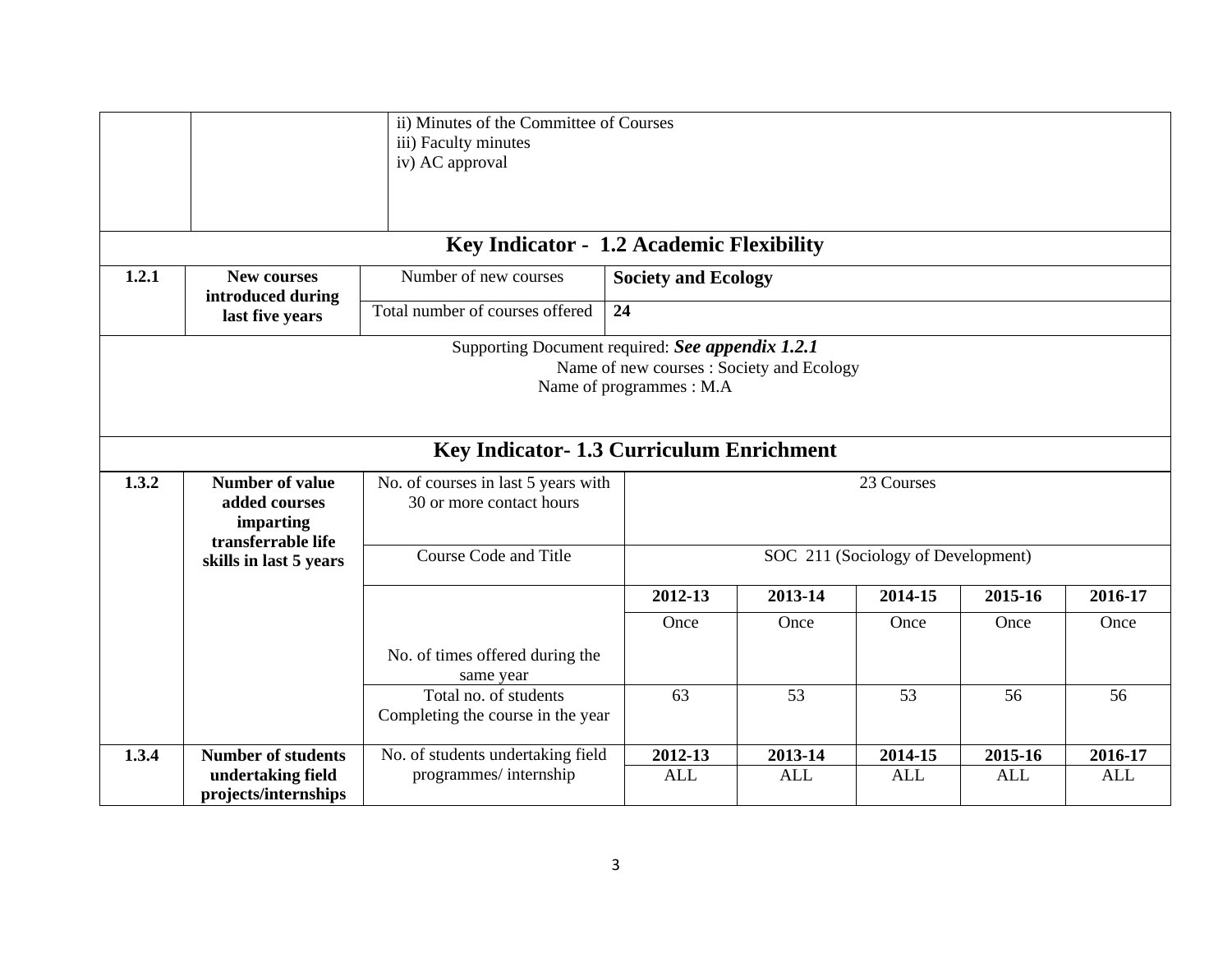|                                                                                                                           |                                                                            | ii) Minutes of the Committee of Courses<br>iii) Faculty minutes<br>iv) AC approval |                            |            |                                    |            |            |  |  |
|---------------------------------------------------------------------------------------------------------------------------|----------------------------------------------------------------------------|------------------------------------------------------------------------------------|----------------------------|------------|------------------------------------|------------|------------|--|--|
|                                                                                                                           |                                                                            | Key Indicator - 1.2 Academic Flexibility                                           |                            |            |                                    |            |            |  |  |
| 1.2.1                                                                                                                     | <b>New courses</b><br>introduced during                                    | Number of new courses                                                              | <b>Society and Ecology</b> |            |                                    |            |            |  |  |
|                                                                                                                           | last five years                                                            | Total number of courses offered                                                    | 24                         |            |                                    |            |            |  |  |
| Supporting Document required: See appendix 1.2.1<br>Name of new courses : Society and Ecology<br>Name of programmes : M.A |                                                                            |                                                                                    |                            |            |                                    |            |            |  |  |
|                                                                                                                           |                                                                            | Key Indicator- 1.3 Curriculum Enrichment                                           |                            |            |                                    |            |            |  |  |
| 1.3.2                                                                                                                     | <b>Number of value</b><br>added courses<br>imparting<br>transferrable life | No. of courses in last 5 years with<br>30 or more contact hours                    |                            |            | 23 Courses                         |            |            |  |  |
|                                                                                                                           | skills in last 5 years                                                     | Course Code and Title                                                              |                            |            | SOC 211 (Sociology of Development) |            |            |  |  |
|                                                                                                                           |                                                                            |                                                                                    | 2012-13                    | 2013-14    | 2014-15                            | 2015-16    | 2016-17    |  |  |
|                                                                                                                           |                                                                            |                                                                                    | Once                       | Once       | Once                               | Once       | Once       |  |  |
|                                                                                                                           |                                                                            | No. of times offered during the<br>same year                                       |                            |            |                                    |            |            |  |  |
|                                                                                                                           |                                                                            | Total no. of students<br>Completing the course in the year                         | 63                         | 53         | 53                                 | 56         | 56         |  |  |
| 1.3.4                                                                                                                     | <b>Number of students</b>                                                  | No. of students undertaking field                                                  | 2012-13                    | 2013-14    | 2014-15                            | 2015-16    | 2016-17    |  |  |
|                                                                                                                           | undertaking field<br>projects/internships                                  | programmes/internship                                                              | <b>ALL</b>                 | <b>ALL</b> | <b>ALL</b>                         | <b>ALL</b> | <b>ALL</b> |  |  |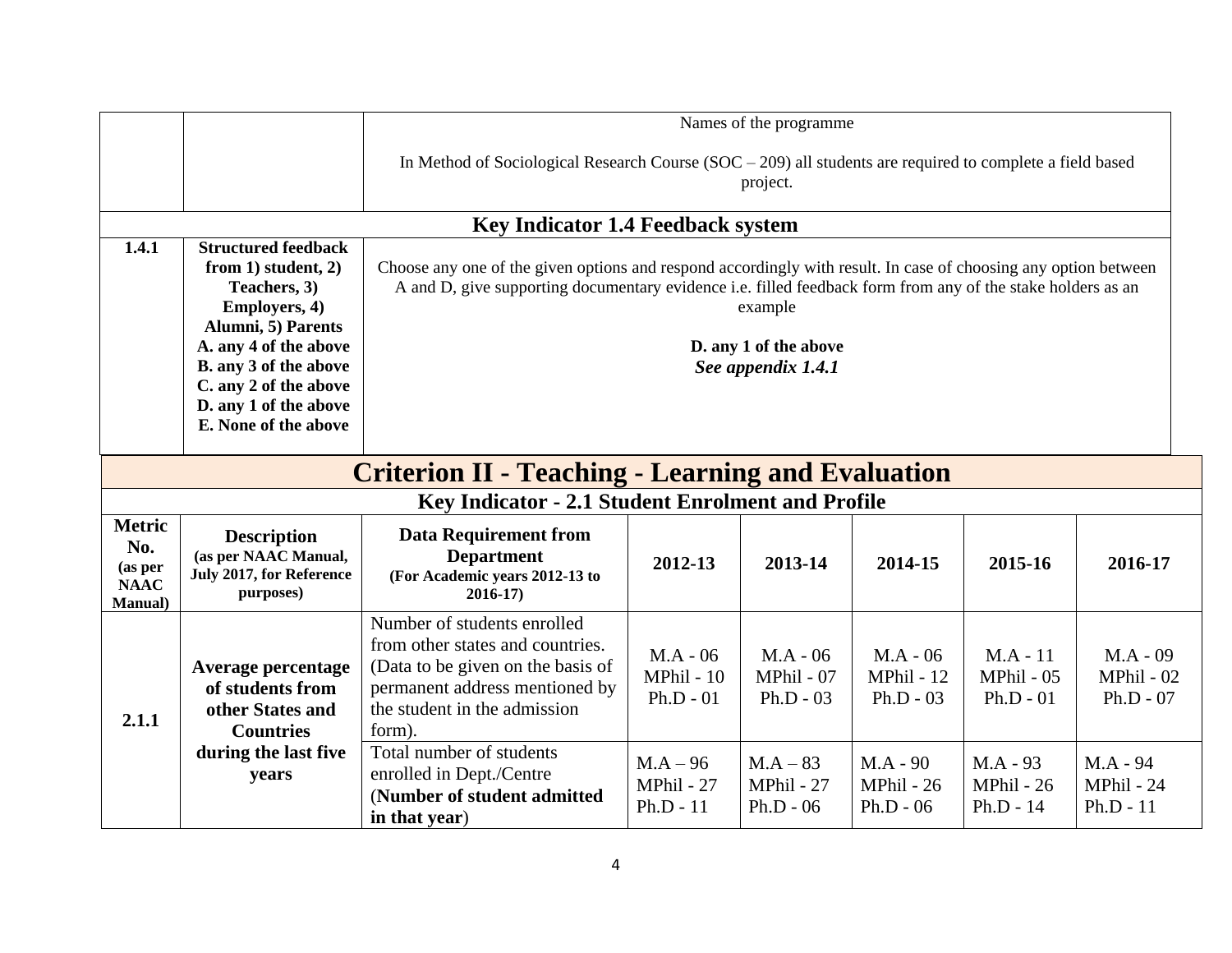|                                                                   |                                                                                                                                                                                                                                                 |                                                                                                                                                                                  |                                                                                                                                                                                                                                                                                          | Names of the programme                         |                                         |                                         |                                         |  |  |  |
|-------------------------------------------------------------------|-------------------------------------------------------------------------------------------------------------------------------------------------------------------------------------------------------------------------------------------------|----------------------------------------------------------------------------------------------------------------------------------------------------------------------------------|------------------------------------------------------------------------------------------------------------------------------------------------------------------------------------------------------------------------------------------------------------------------------------------|------------------------------------------------|-----------------------------------------|-----------------------------------------|-----------------------------------------|--|--|--|
|                                                                   |                                                                                                                                                                                                                                                 | In Method of Sociological Research Course $(SOC - 209)$ all students are required to complete a field based                                                                      |                                                                                                                                                                                                                                                                                          | project.                                       |                                         |                                         |                                         |  |  |  |
|                                                                   |                                                                                                                                                                                                                                                 | <b>Key Indicator 1.4 Feedback system</b>                                                                                                                                         |                                                                                                                                                                                                                                                                                          |                                                |                                         |                                         |                                         |  |  |  |
| 1.4.1                                                             | <b>Structured feedback</b><br>from $1)$ student, $2)$<br>Teachers, 3)<br><b>Employers, 4)</b><br>Alumni, 5) Parents<br>A. any 4 of the above<br>B. any 3 of the above<br>C. any 2 of the above<br>D. any 1 of the above<br>E. None of the above |                                                                                                                                                                                  | Choose any one of the given options and respond accordingly with result. In case of choosing any option between<br>A and D, give supporting documentary evidence i.e. filled feedback form from any of the stake holders as an<br>example<br>D. any 1 of the above<br>See appendix 1.4.1 |                                                |                                         |                                         |                                         |  |  |  |
|                                                                   | <b>Criterion II - Teaching - Learning and Evaluation</b>                                                                                                                                                                                        |                                                                                                                                                                                  |                                                                                                                                                                                                                                                                                          |                                                |                                         |                                         |                                         |  |  |  |
|                                                                   |                                                                                                                                                                                                                                                 | Key Indicator - 2.1 Student Enrolment and Profile                                                                                                                                |                                                                                                                                                                                                                                                                                          |                                                |                                         |                                         |                                         |  |  |  |
| <b>Metric</b><br>No.<br>(as per<br><b>NAAC</b><br><b>Manual</b> ) | <b>Description</b><br>(as per NAAC Manual,<br>July 2017, for Reference<br>purposes)                                                                                                                                                             | <b>Data Requirement from</b><br><b>Department</b><br>(For Academic years 2012-13 to<br>$2016 - 17$                                                                               | 2012-13                                                                                                                                                                                                                                                                                  | 2013-14                                        | 2014-15                                 | 2015-16                                 | 2016-17                                 |  |  |  |
| 2.1.1                                                             | Average percentage<br>of students from<br>other States and<br><b>Countries</b>                                                                                                                                                                  | Number of students enrolled<br>from other states and countries.<br>(Data to be given on the basis of<br>permanent address mentioned by<br>the student in the admission<br>form). | $MA - 06$<br>$MPhil - 10$<br>$Ph.D - 01$                                                                                                                                                                                                                                                 | $M.A - 06$<br><b>MPhil - 07</b><br>$Ph.D - 03$ | $M.A - 06$<br>MPhil - 12<br>$Ph.D - 03$ | $M.A - 11$<br>MPhil - 05<br>$Ph.D - 01$ | $M.A - 09$<br>MPhil - 02<br>$Ph.D - 07$ |  |  |  |
|                                                                   | during the last five<br>years                                                                                                                                                                                                                   | Total number of students<br>enrolled in Dept./Centre<br>(Number of student admitted<br>in that year)                                                                             | $M.A - 96$<br>MPhil - 27<br>$Ph.D - 11$                                                                                                                                                                                                                                                  | $MA-83$<br>MPhil - 27<br>$Ph.D - 06$           | $MA - 90$<br>MPhil - 26<br>$Ph.D - 06$  | M.A - 93<br>MPhil - 26<br>Ph.D - $14$   | M.A - 94<br>MPhil - 24<br>$Ph.D - 11$   |  |  |  |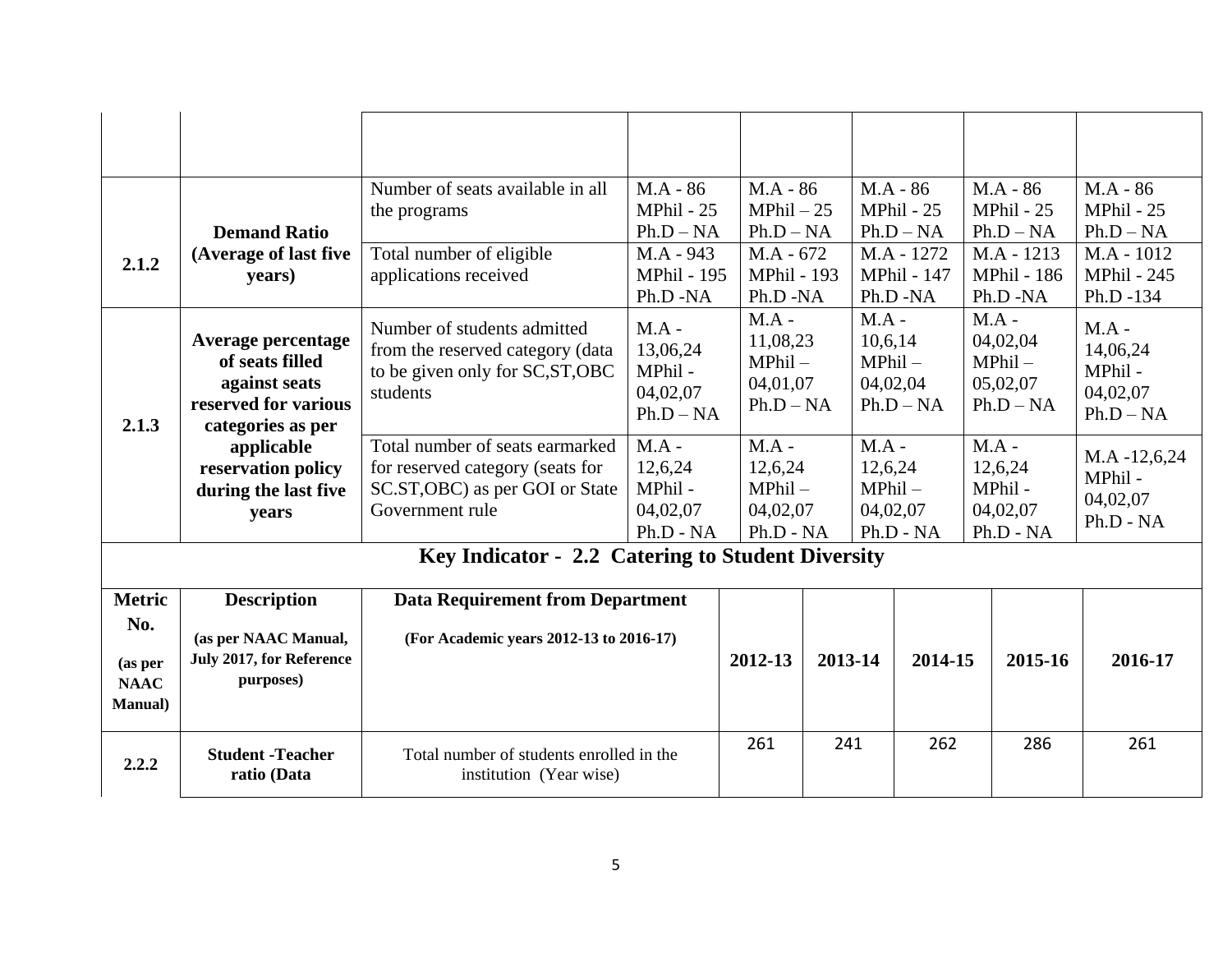|                                                                   | <b>Demand Ratio</b>                                                                                 | Number of seats available in all<br>the programs                                                                          | $MA - 86$<br>MPhil - 25<br>$Ph.D - NA$                  | $MA - 86$<br>$MPhil - 25$<br>$Ph.D - NA$     |                                                  | $MA - 86$                                   | MPhil - 25<br>$Ph.D - NA$                                 |                                                            | $MA - 86$<br>MPhil - 25<br>$Ph.D - NA$      | $MA - 86$<br>MPhil - 25<br>$Ph.D - NA$                  |
|-------------------------------------------------------------------|-----------------------------------------------------------------------------------------------------|---------------------------------------------------------------------------------------------------------------------------|---------------------------------------------------------|----------------------------------------------|--------------------------------------------------|---------------------------------------------|-----------------------------------------------------------|------------------------------------------------------------|---------------------------------------------|---------------------------------------------------------|
| 2.1.2                                                             | (Average of last five<br>years)                                                                     | Total number of eligible<br>applications received                                                                         | M.A - 943<br><b>MPhil - 195</b><br>Ph.D -NA             | $MA - 672$<br><b>MPhil - 193</b><br>Ph.D -NA |                                                  | M.A - 1272<br><b>MPhil - 147</b><br>Ph.D-NA |                                                           |                                                            | M.A - 1213<br><b>MPhil - 186</b><br>Ph.D-NA | $M.A - 1012$<br><b>MPhil - 245</b><br>Ph.D -134         |
| 2.1.3                                                             | Average percentage<br>of seats filled<br>against seats<br>reserved for various<br>categories as per | Number of students admitted<br>from the reserved category (data<br>to be given only for SC, ST, OBC<br>students           | $MA -$<br>13,06,24<br>MPhil-<br>04,02,07<br>$Ph.D - NA$ | $MA -$                                       | 11,08,23<br>$MPhil -$<br>04,01,07<br>$Ph.D - NA$ |                                             | $MA -$<br>10,6,14<br>$MPhil -$<br>04,02,04<br>$Ph.D - NA$ | $MA -$<br>04,02,04<br>$MPhil -$<br>05,02,07<br>$Ph.D - NA$ |                                             | $MA -$<br>14,06,24<br>MPhil-<br>04,02,07<br>$Ph.D - NA$ |
|                                                                   | applicable<br>reservation policy<br>during the last five<br>years                                   | Total number of seats earmarked<br>for reserved category (seats for<br>SC.ST, OBC) as per GOI or State<br>Government rule | $MA -$<br>12,6,24<br>MPhil-<br>04,02,07<br>Ph.D - NA    | $MA -$                                       | 12,6,24<br>$MPhil -$<br>04,02,07<br>Ph.D - NA    |                                             | $MA -$<br>12,6,24<br>$MPhil -$<br>04,02,07<br>Ph.D - NA   | $MA -$                                                     | 12,6,24<br>MPhil-<br>04,02,07<br>Ph.D - NA  | $MA - 12, 6, 24$<br>MPhil-<br>04,02,07<br>$Ph.D - NA$   |
|                                                                   |                                                                                                     | Key Indicator - 2.2 Catering to Student Diversity                                                                         |                                                         |                                              |                                                  |                                             |                                                           |                                                            |                                             |                                                         |
| <b>Metric</b><br>No.<br>(as per<br><b>NAAC</b><br><b>Manual</b> ) | <b>Description</b><br>(as per NAAC Manual,<br>July 2017, for Reference<br>purposes)                 | <b>Data Requirement from Department</b><br>(For Academic years 2012-13 to 2016-17)                                        |                                                         | 2012-13                                      | 2013-14                                          |                                             | 2014-15                                                   |                                                            | 2015-16                                     | 2016-17                                                 |
| 2.2.2                                                             | <b>Student -Teacher</b><br>ratio (Data                                                              | Total number of students enrolled in the<br>institution (Year wise)                                                       |                                                         | 261                                          | 241                                              |                                             | 262                                                       |                                                            | 286                                         | 261                                                     |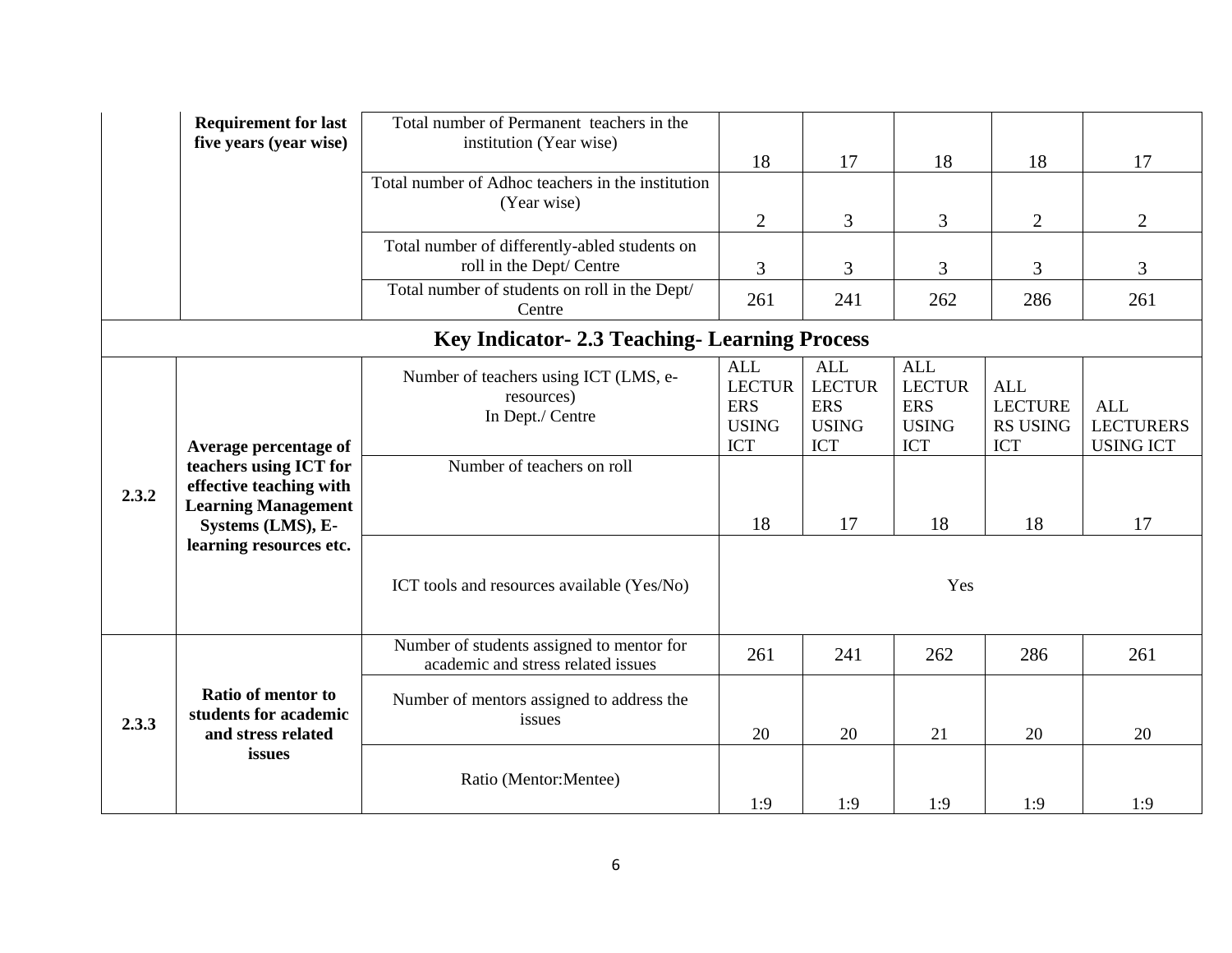|       | <b>Requirement for last</b><br>five years (year wise)                                                | Total number of Permanent teachers in the<br>institution (Year wise)            | 18                                                                      | 17                                                                      | 18                                                                      | 18                                                            | 17                                                 |
|-------|------------------------------------------------------------------------------------------------------|---------------------------------------------------------------------------------|-------------------------------------------------------------------------|-------------------------------------------------------------------------|-------------------------------------------------------------------------|---------------------------------------------------------------|----------------------------------------------------|
|       |                                                                                                      | Total number of Adhoc teachers in the institution<br>(Year wise)                | $\overline{2}$                                                          | 3                                                                       | 3                                                                       | $\overline{2}$                                                | $\overline{2}$                                     |
|       |                                                                                                      | Total number of differently-abled students on<br>roll in the Dept/ Centre       | 3                                                                       | 3                                                                       | 3                                                                       | 3                                                             | 3                                                  |
|       |                                                                                                      | Total number of students on roll in the Dept/<br>Centre                         | 261                                                                     | 241                                                                     | 262                                                                     | 286                                                           | 261                                                |
|       |                                                                                                      | <b>Key Indicator-2.3 Teaching-Learning Process</b>                              |                                                                         |                                                                         |                                                                         |                                                               |                                                    |
|       | Average percentage of                                                                                | Number of teachers using ICT (LMS, e-<br>resources)<br>In Dept./ Centre         | <b>ALL</b><br><b>LECTUR</b><br><b>ERS</b><br><b>USING</b><br><b>ICT</b> | <b>ALL</b><br><b>LECTUR</b><br><b>ERS</b><br><b>USING</b><br><b>ICT</b> | <b>ALL</b><br><b>LECTUR</b><br><b>ERS</b><br><b>USING</b><br><b>ICT</b> | <b>ALL</b><br><b>LECTURE</b><br><b>RS USING</b><br><b>ICT</b> | <b>ALL</b><br><b>LECTURERS</b><br><b>USING ICT</b> |
| 2.3.2 | teachers using ICT for<br>effective teaching with<br><b>Learning Management</b><br>Systems (LMS), E- | Number of teachers on roll                                                      | 18                                                                      | 17                                                                      | 18                                                                      | 18                                                            | 17                                                 |
|       | learning resources etc.                                                                              | ICT tools and resources available (Yes/No)                                      |                                                                         |                                                                         | Yes                                                                     |                                                               |                                                    |
|       |                                                                                                      | Number of students assigned to mentor for<br>academic and stress related issues | 261                                                                     | 241                                                                     | 262                                                                     | 286                                                           | 261                                                |
| 2.3.3 | Ratio of mentor to<br>students for academic<br>and stress related                                    | Number of mentors assigned to address the<br>issues                             | 20                                                                      | 20                                                                      | 21                                                                      | 20                                                            | 20                                                 |
|       | issues                                                                                               | Ratio (Mentor:Mentee)                                                           | 1:9                                                                     | 1:9                                                                     | 1:9                                                                     | 1:9                                                           | 1:9                                                |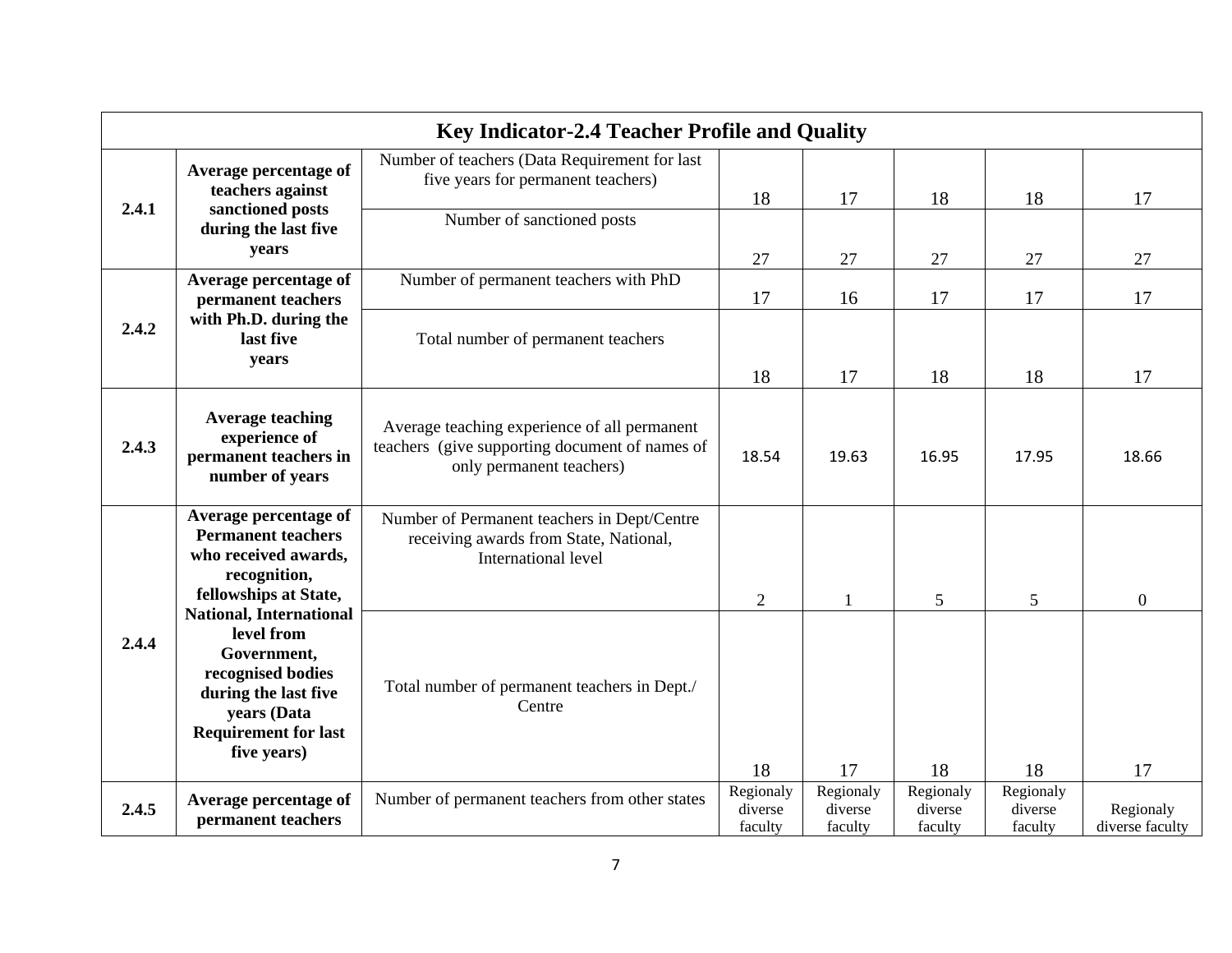|       |                                                                                                                                                                       | <b>Key Indicator-2.4 Teacher Profile and Quality</b>                                                                       |                                 |                                 |                                 |                                 |                              |
|-------|-----------------------------------------------------------------------------------------------------------------------------------------------------------------------|----------------------------------------------------------------------------------------------------------------------------|---------------------------------|---------------------------------|---------------------------------|---------------------------------|------------------------------|
|       | Average percentage of<br>teachers against                                                                                                                             | Number of teachers (Data Requirement for last<br>five years for permanent teachers)                                        | 18                              | 17                              | 18                              | 18                              | 17                           |
| 2.4.1 | sanctioned posts<br>during the last five<br>years                                                                                                                     | Number of sanctioned posts                                                                                                 | 27                              | 27                              | 27                              | 27                              | 27                           |
|       | Average percentage of<br>permanent teachers                                                                                                                           | Number of permanent teachers with PhD                                                                                      | 17                              | 16                              | 17                              | 17                              | 17                           |
| 2.4.2 | with Ph.D. during the<br>last five<br>years                                                                                                                           | Total number of permanent teachers                                                                                         | 18                              | 17                              | 18                              | 18                              | 17                           |
| 2.4.3 | <b>Average teaching</b><br>experience of<br>permanent teachers in<br>number of years                                                                                  | Average teaching experience of all permanent<br>teachers (give supporting document of names of<br>only permanent teachers) | 18.54                           | 19.63                           | 16.95                           | 17.95                           | 18.66                        |
|       | Average percentage of<br><b>Permanent teachers</b><br>who received awards,<br>recognition,<br>fellowships at State,                                                   | Number of Permanent teachers in Dept/Centre<br>receiving awards from State, National,<br>International level               | $\overline{2}$                  |                                 | 5                               | 5                               | $\mathbf{0}$                 |
| 2.4.4 | <b>National, International</b><br>level from<br>Government,<br>recognised bodies<br>during the last five<br>years (Data<br><b>Requirement for last</b><br>five years) | Total number of permanent teachers in Dept./<br>Centre                                                                     | 18                              | 17                              | 18                              | 18                              | 17                           |
| 2.4.5 | Average percentage of<br>permanent teachers                                                                                                                           | Number of permanent teachers from other states                                                                             | Regionaly<br>diverse<br>faculty | Regionaly<br>diverse<br>faculty | Regionaly<br>diverse<br>faculty | Regionaly<br>diverse<br>faculty | Regionaly<br>diverse faculty |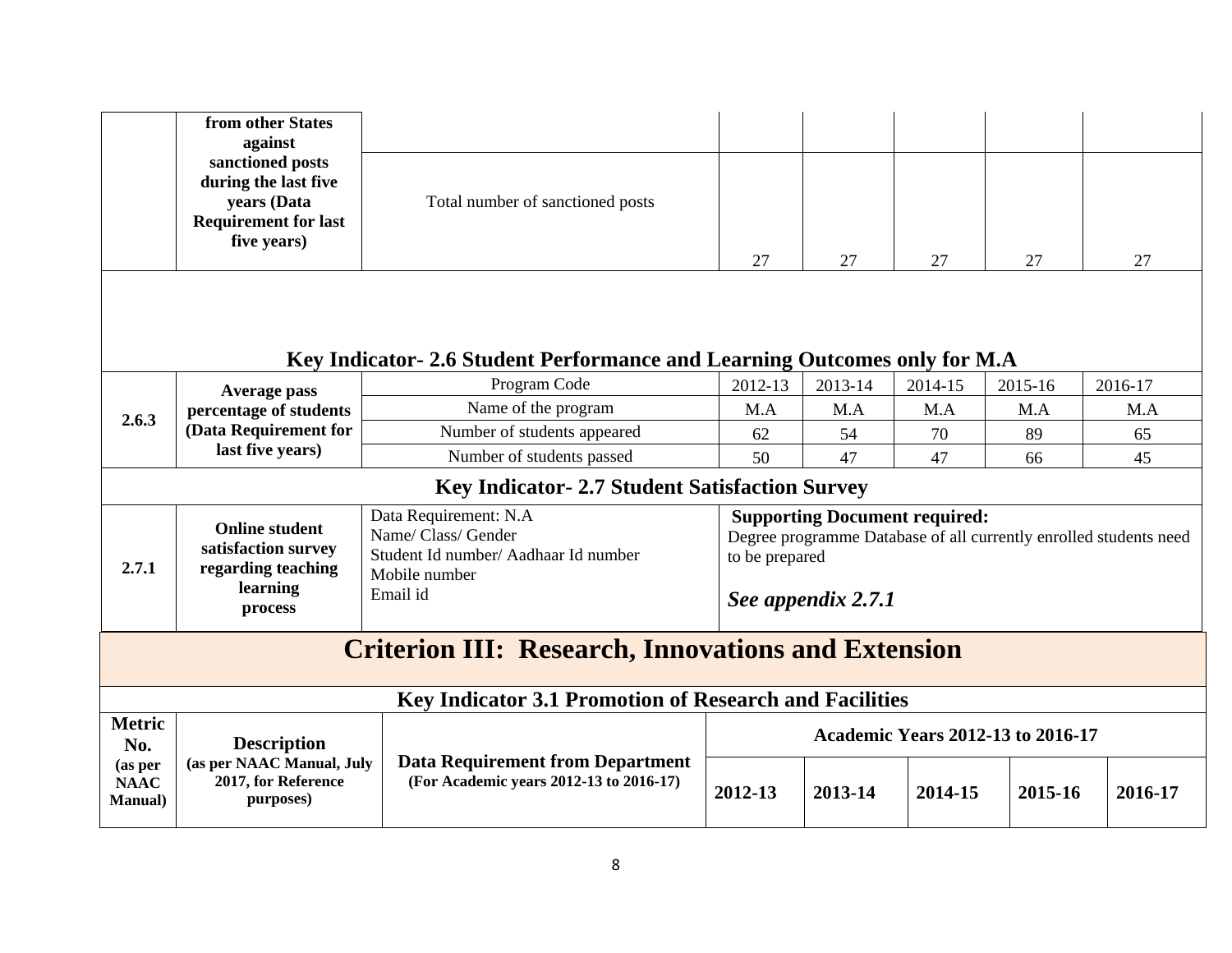|                                           | from other States<br>against                                                                          |                                                                                                                   |                |                                                            |         |                                                                   |         |
|-------------------------------------------|-------------------------------------------------------------------------------------------------------|-------------------------------------------------------------------------------------------------------------------|----------------|------------------------------------------------------------|---------|-------------------------------------------------------------------|---------|
|                                           | sanctioned posts<br>during the last five<br>years (Data<br><b>Requirement for last</b><br>five years) | Total number of sanctioned posts                                                                                  | 27             | 27                                                         | 27      | 27                                                                | 27      |
|                                           |                                                                                                       | Key Indicator-2.6 Student Performance and Learning Outcomes only for M.A                                          |                |                                                            |         |                                                                   |         |
|                                           | Average pass                                                                                          | Program Code                                                                                                      | 2012-13        | 2013-14                                                    | 2014-15 | 2015-16                                                           | 2016-17 |
| 2.6.3                                     | percentage of students                                                                                | Name of the program                                                                                               | M.A            | M.A                                                        | M.A     | M.A                                                               | M.A     |
|                                           | (Data Requirement for                                                                                 | Number of students appeared                                                                                       | 62             | 54                                                         | 70      | 89                                                                | 65      |
|                                           | last five years)                                                                                      | Number of students passed                                                                                         | 50             | 47                                                         | 47      | 66                                                                | 45      |
|                                           |                                                                                                       | Key Indicator- 2.7 Student Satisfaction Survey                                                                    |                |                                                            |         |                                                                   |         |
| 2.7.1                                     | <b>Online student</b><br>satisfaction survey<br>regarding teaching<br>learning<br>process             | Data Requirement: N.A<br>Name/ Class/ Gender<br>Student Id number/ Aadhaar Id number<br>Mobile number<br>Email id | to be prepared | <b>Supporting Document required:</b><br>See appendix 2.7.1 |         | Degree programme Database of all currently enrolled students need |         |
|                                           |                                                                                                       | <b>Criterion III: Research, Innovations and Extension</b>                                                         |                |                                                            |         |                                                                   |         |
|                                           |                                                                                                       | Key Indicator 3.1 Promotion of Research and Facilities                                                            |                |                                                            |         |                                                                   |         |
| <b>Metric</b><br>No.                      | <b>Description</b>                                                                                    |                                                                                                                   |                |                                                            |         | <b>Academic Years 2012-13 to 2016-17</b>                          |         |
| (as per<br><b>NAAC</b><br><b>Manual</b> ) | (as per NAAC Manual, July<br>2017, for Reference<br>purposes)                                         | <b>Data Requirement from Department</b><br>(For Academic years 2012-13 to 2016-17)                                | 2012-13        | 2013-14                                                    | 2014-15 | 2015-16                                                           | 2016-17 |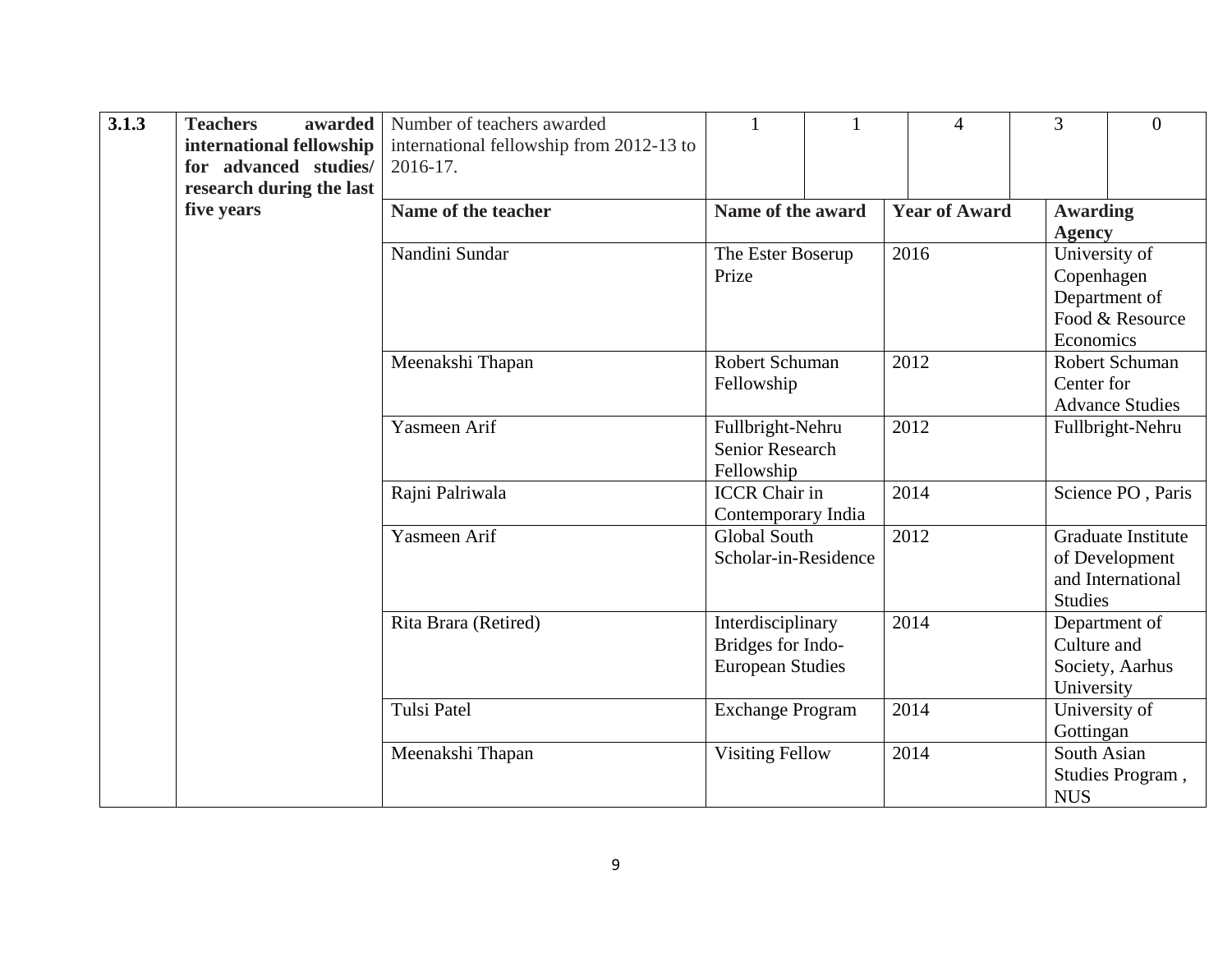| 3.1.3 | <b>Teachers</b><br>awarded<br>international fellowship<br>for advanced studies/ | Number of teachers awarded<br>international fellowship from 2012-13 to<br>2016-17. | $\mathbf{1}$                              |  | $\overline{4}$       | 3               | $\overline{0}$                      |
|-------|---------------------------------------------------------------------------------|------------------------------------------------------------------------------------|-------------------------------------------|--|----------------------|-----------------|-------------------------------------|
|       | research during the last                                                        |                                                                                    |                                           |  |                      |                 |                                     |
|       | five years                                                                      | Name of the teacher                                                                | Name of the award                         |  | <b>Year of Award</b> | <b>Awarding</b> |                                     |
|       |                                                                                 |                                                                                    |                                           |  |                      | <b>Agency</b>   |                                     |
|       |                                                                                 | Nandini Sundar                                                                     | The Ester Boserup                         |  | 2016                 |                 | University of                       |
|       |                                                                                 |                                                                                    | Prize                                     |  |                      | Copenhagen      |                                     |
|       |                                                                                 |                                                                                    |                                           |  |                      |                 | Department of                       |
|       |                                                                                 |                                                                                    |                                           |  |                      |                 | Food & Resource                     |
|       |                                                                                 |                                                                                    |                                           |  |                      | Economics       |                                     |
|       |                                                                                 | Meenakshi Thapan                                                                   | Robert Schuman                            |  | 2012                 |                 | Robert Schuman                      |
|       |                                                                                 |                                                                                    | Fellowship                                |  |                      | Center for      |                                     |
|       |                                                                                 |                                                                                    |                                           |  |                      |                 | <b>Advance Studies</b>              |
|       |                                                                                 | Yasmeen Arif                                                                       | Fullbright-Nehru                          |  | 2012                 |                 | Fullbright-Nehru                    |
|       |                                                                                 |                                                                                    | Senior Research                           |  |                      |                 |                                     |
|       |                                                                                 |                                                                                    | Fellowship                                |  |                      |                 |                                     |
|       |                                                                                 | Rajni Palriwala                                                                    | <b>ICCR</b> Chair in                      |  | 2014                 |                 | Science PO, Paris                   |
|       |                                                                                 | Yasmeen Arif                                                                       | Contemporary India<br><b>Global South</b> |  | 2012                 |                 | Graduate Institute                  |
|       |                                                                                 |                                                                                    | Scholar-in-Residence                      |  |                      |                 |                                     |
|       |                                                                                 |                                                                                    |                                           |  |                      |                 | of Development<br>and International |
|       |                                                                                 |                                                                                    |                                           |  |                      | <b>Studies</b>  |                                     |
|       |                                                                                 | Rita Brara (Retired)                                                               |                                           |  | 2014                 |                 |                                     |
|       |                                                                                 |                                                                                    | Interdisciplinary<br>Bridges for Indo-    |  |                      | Culture and     | Department of                       |
|       |                                                                                 |                                                                                    | <b>European Studies</b>                   |  |                      |                 | Society, Aarhus                     |
|       |                                                                                 |                                                                                    |                                           |  |                      | University      |                                     |
|       |                                                                                 | <b>Tulsi Patel</b>                                                                 | <b>Exchange Program</b>                   |  | 2014                 |                 | University of                       |
|       |                                                                                 |                                                                                    |                                           |  |                      | Gottingan       |                                     |
|       |                                                                                 | Meenakshi Thapan                                                                   | <b>Visiting Fellow</b>                    |  | 2014                 | South Asian     |                                     |
|       |                                                                                 |                                                                                    |                                           |  |                      |                 | Studies Program,                    |
|       |                                                                                 |                                                                                    |                                           |  |                      | <b>NUS</b>      |                                     |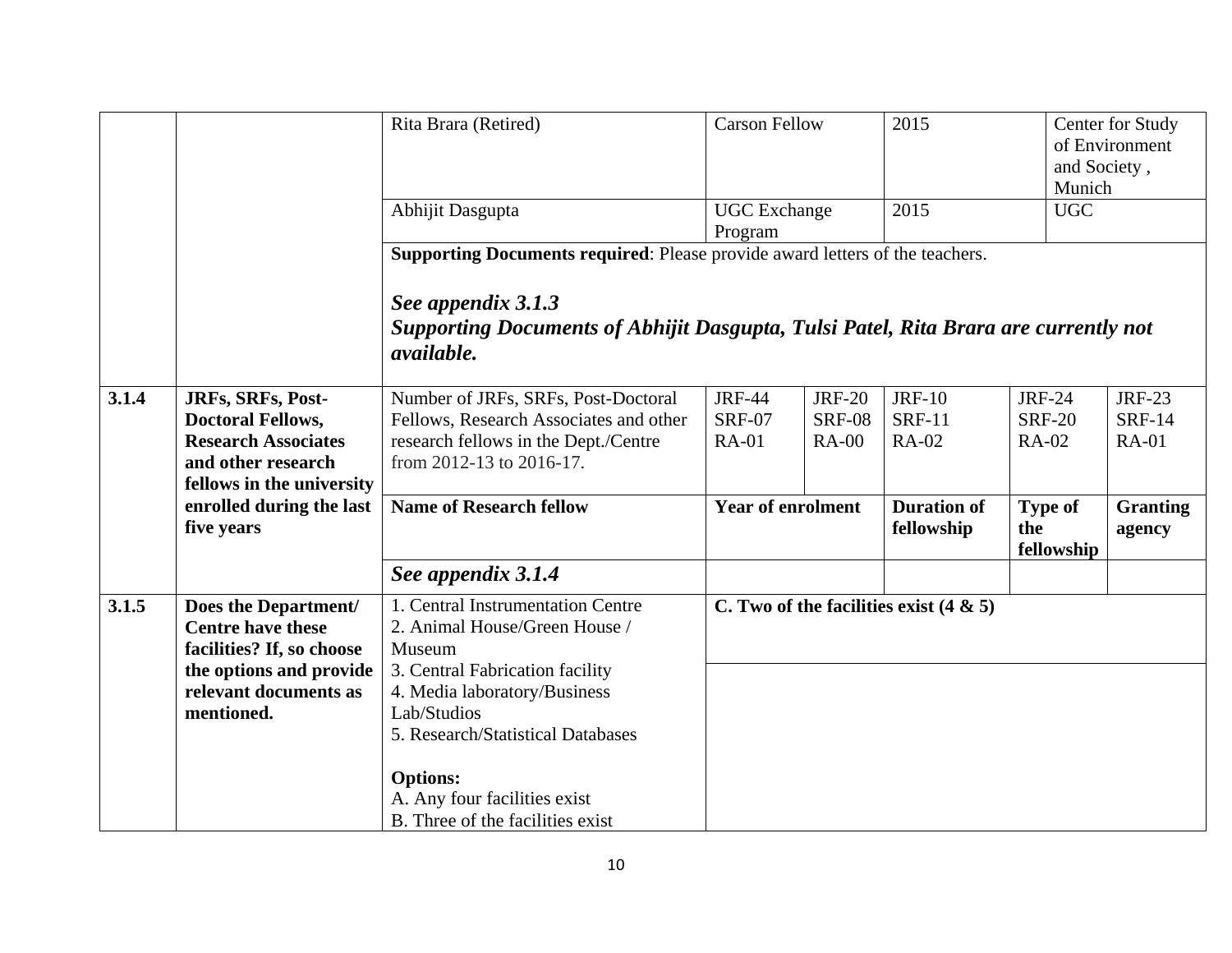|       |                                                                               | Rita Brara (Retired)                                                                                                           | <b>Carson Fellow</b>           |                                | 2015                                      | and Society,<br>Munich              | Center for Study<br>of Environment |
|-------|-------------------------------------------------------------------------------|--------------------------------------------------------------------------------------------------------------------------------|--------------------------------|--------------------------------|-------------------------------------------|-------------------------------------|------------------------------------|
|       |                                                                               | Abhijit Dasgupta                                                                                                               | <b>UGC</b> Exchange<br>Program |                                | 2015                                      | <b>UGC</b>                          |                                    |
|       |                                                                               | Supporting Documents required: Please provide award letters of the teachers.                                                   |                                |                                |                                           |                                     |                                    |
|       |                                                                               | See appendix 3.1.3<br>Supporting Documents of Abhijit Dasgupta, Tulsi Patel, Rita Brara are currently not<br><i>available.</i> |                                |                                |                                           |                                     |                                    |
| 3.1.4 | JRFs, SRFs, Post-<br><b>Doctoral Fellows,</b>                                 | Number of JRFs, SRFs, Post-Doctoral<br>Fellows, Research Associates and other                                                  | <b>JRF-44</b><br><b>SRF-07</b> | <b>JRF-20</b><br><b>SRF-08</b> | <b>JRF-10</b><br><b>SRF-11</b>            | <b>JRF-24</b><br><b>SRF-20</b>      | <b>JRF-23</b><br><b>SRF-14</b>     |
|       | <b>Research Associates</b><br>and other research<br>fellows in the university | research fellows in the Dept./Centre<br>from 2012-13 to 2016-17.                                                               | <b>RA-01</b>                   | <b>RA-00</b>                   | <b>RA-02</b>                              | <b>RA-02</b>                        | <b>RA-01</b>                       |
|       | enrolled during the last<br>five years                                        | <b>Name of Research fellow</b>                                                                                                 | <b>Year of enrolment</b>       |                                | <b>Duration of</b><br>fellowship          | <b>Type of</b><br>the<br>fellowship | <b>Granting</b><br>agency          |
|       |                                                                               | See appendix 3.1.4                                                                                                             |                                |                                |                                           |                                     |                                    |
| 3.1.5 | Does the Department/<br><b>Centre have these</b><br>facilities? If, so choose | 1. Central Instrumentation Centre<br>2. Animal House/Green House /<br>Museum                                                   |                                |                                | C. Two of the facilities exist $(4 \& 5)$ |                                     |                                    |
|       | the options and provide<br>relevant documents as<br>mentioned.                | 3. Central Fabrication facility<br>4. Media laboratory/Business<br>Lab/Studios                                                 |                                |                                |                                           |                                     |                                    |
|       |                                                                               | 5. Research/Statistical Databases<br><b>Options:</b><br>A. Any four facilities exist<br>B. Three of the facilities exist       |                                |                                |                                           |                                     |                                    |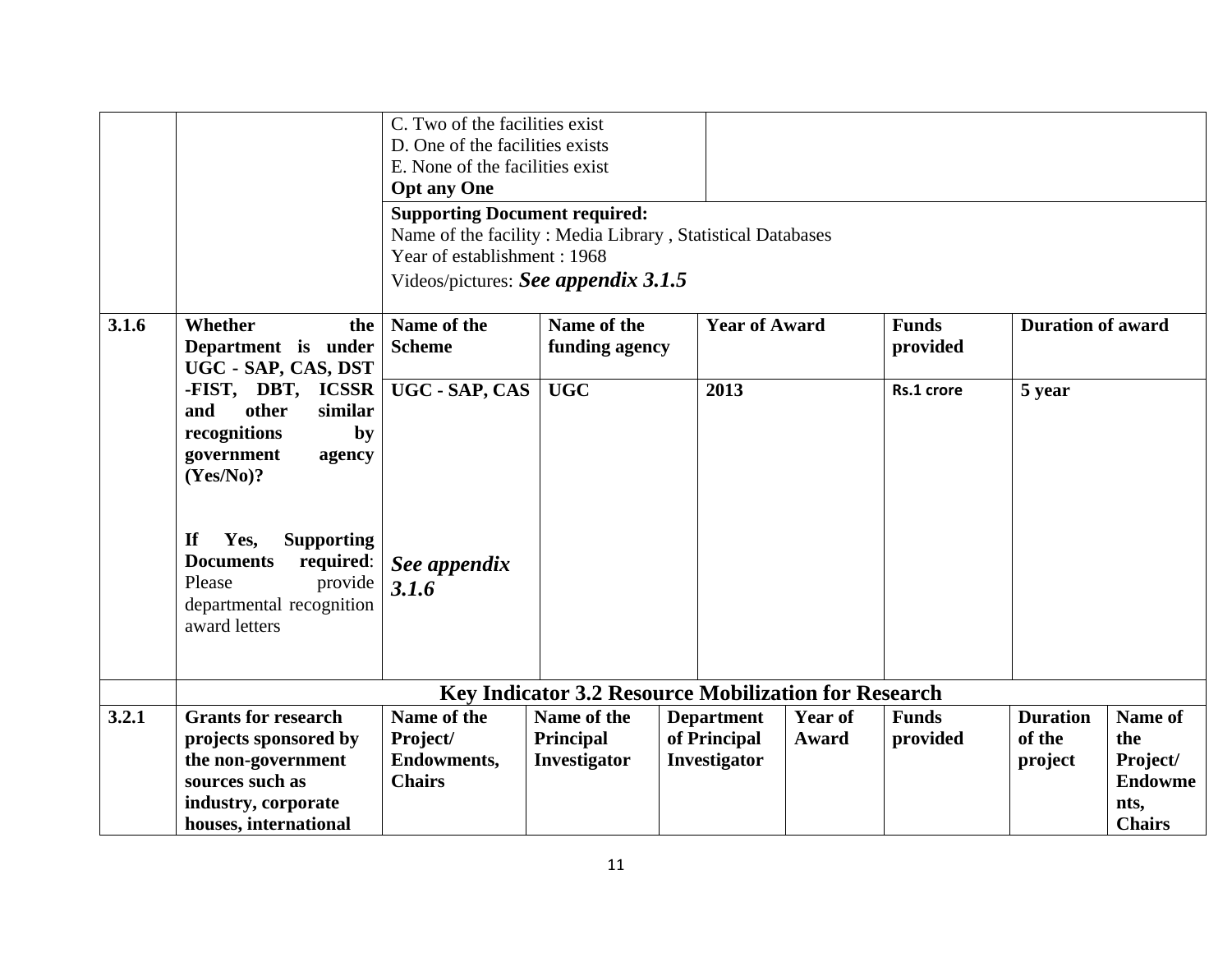|       |                                                                                                                                                                             | C. Two of the facilities exist<br>D. One of the facilities exists<br>E. None of the facilities exist<br><b>Opt any One</b><br><b>Supporting Document required:</b><br>Name of the facility: Media Library, Statistical Databases |                                                             |                                                   |                         |                          |                                      |                                                                       |
|-------|-----------------------------------------------------------------------------------------------------------------------------------------------------------------------------|----------------------------------------------------------------------------------------------------------------------------------------------------------------------------------------------------------------------------------|-------------------------------------------------------------|---------------------------------------------------|-------------------------|--------------------------|--------------------------------------|-----------------------------------------------------------------------|
|       |                                                                                                                                                                             | Year of establishment: 1968                                                                                                                                                                                                      |                                                             |                                                   |                         |                          |                                      |                                                                       |
|       |                                                                                                                                                                             | Videos/pictures: See appendix 3.1.5                                                                                                                                                                                              |                                                             |                                                   |                         |                          |                                      |                                                                       |
| 3.1.6 | Whether<br>the<br>Department is under<br>UGC - SAP, CAS, DST                                                                                                                | Name of the<br><b>Scheme</b>                                                                                                                                                                                                     | Name of the<br>funding agency                               | <b>Year of Award</b>                              |                         | <b>Funds</b><br>provided | <b>Duration of award</b>             |                                                                       |
|       | -FIST, DBT, ICSSR<br>other<br>and<br>similar<br>recognitions<br>by<br>government<br>agency<br>(Yes/No)?<br>If<br>Yes,<br><b>Supporting</b><br><b>Documents</b><br>required: | UGC - SAP, CAS<br>See appendix                                                                                                                                                                                                   | <b>UGC</b>                                                  | 2013                                              |                         | Rs.1 crore               | 5 year                               |                                                                       |
|       | Please<br>provide<br>departmental recognition<br>award letters                                                                                                              | 3.1.6                                                                                                                                                                                                                            |                                                             |                                                   |                         |                          |                                      |                                                                       |
|       |                                                                                                                                                                             |                                                                                                                                                                                                                                  | <b>Key Indicator 3.2 Resource Mobilization for Research</b> |                                                   |                         |                          |                                      |                                                                       |
| 3.2.1 | <b>Grants for research</b><br>projects sponsored by<br>the non-government<br>sources such as<br>industry, corporate<br>houses, international                                | Name of the<br>Project/<br><b>Endowments,</b><br><b>Chairs</b>                                                                                                                                                                   | Name of the<br>Principal<br>Investigator                    | <b>Department</b><br>of Principal<br>Investigator | <b>Year of</b><br>Award | <b>Funds</b><br>provided | <b>Duration</b><br>of the<br>project | Name of<br>the<br>Project/<br><b>Endowme</b><br>nts,<br><b>Chairs</b> |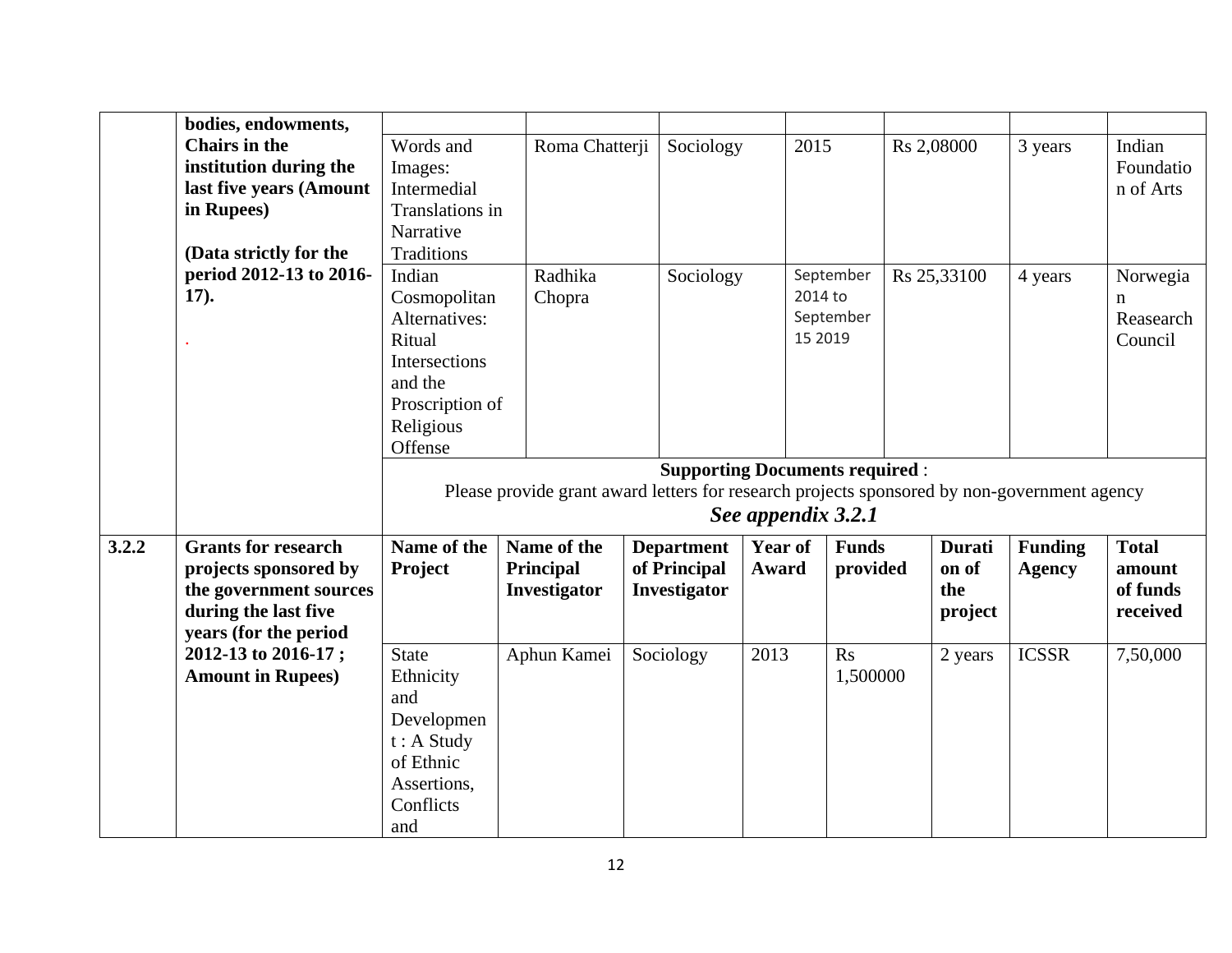|       | bodies, endowments,        |                   |                                                                                             |                   |                                       |                |               |                |              |
|-------|----------------------------|-------------------|---------------------------------------------------------------------------------------------|-------------------|---------------------------------------|----------------|---------------|----------------|--------------|
|       | <b>Chairs in the</b>       | Words and         | Roma Chatterji                                                                              | Sociology         | 2015                                  |                | Rs 2,08000    | 3 years        | Indian       |
|       | institution during the     | Images:           |                                                                                             |                   |                                       |                |               |                | Foundatio    |
|       | last five years (Amount    | Intermedial       |                                                                                             |                   |                                       |                |               |                | n of Arts    |
|       | in Rupees)                 | Translations in   |                                                                                             |                   |                                       |                |               |                |              |
|       |                            | Narrative         |                                                                                             |                   |                                       |                |               |                |              |
|       | (Data strictly for the     | <b>Traditions</b> |                                                                                             |                   |                                       |                |               |                |              |
|       | period 2012-13 to 2016-    | Indian            | Radhika                                                                                     | Sociology         |                                       | September      | Rs 25,33100   | 4 years        | Norwegia     |
|       | 17).                       | Cosmopolitan      | Chopra                                                                                      |                   | 2014 to                               |                |               |                | n            |
|       |                            | Alternatives:     |                                                                                             |                   |                                       | September      |               |                | Reasearch    |
|       |                            | Ritual            |                                                                                             |                   | 15 2019                               |                |               |                | Council      |
|       |                            | Intersections     |                                                                                             |                   |                                       |                |               |                |              |
|       |                            | and the           |                                                                                             |                   |                                       |                |               |                |              |
|       |                            | Proscription of   |                                                                                             |                   |                                       |                |               |                |              |
|       |                            | Religious         |                                                                                             |                   |                                       |                |               |                |              |
|       |                            | Offense           |                                                                                             |                   |                                       |                |               |                |              |
|       |                            |                   |                                                                                             |                   | <b>Supporting Documents required:</b> |                |               |                |              |
|       |                            |                   | Please provide grant award letters for research projects sponsored by non-government agency |                   |                                       |                |               |                |              |
|       |                            |                   |                                                                                             |                   | See appendix 3.2.1                    |                |               |                |              |
| 3.2.2 | <b>Grants for research</b> | Name of the       | Name of the                                                                                 | <b>Department</b> | Year of                               | <b>Funds</b>   | <b>Durati</b> |                |              |
|       | projects sponsored by      |                   |                                                                                             |                   |                                       |                |               | <b>Funding</b> | <b>Total</b> |
|       |                            | Project           | Principal                                                                                   | of Principal      | Award                                 | provided       | on of         | <b>Agency</b>  | amount       |
|       | the government sources     |                   | <b>Investigator</b>                                                                         | Investigator      |                                       |                | the           |                | of funds     |
|       | during the last five       |                   |                                                                                             |                   |                                       |                | project       |                | received     |
|       | years (for the period      |                   |                                                                                             |                   |                                       |                |               |                |              |
|       | 2012-13 to 2016-17;        | <b>State</b>      | Aphun Kamei                                                                                 | Sociology         | 2013                                  | R <sub>S</sub> | 2 years       | <b>ICSSR</b>   | 7,50,000     |
|       | <b>Amount in Rupees)</b>   | Ethnicity         |                                                                                             |                   |                                       | 1,500000       |               |                |              |
|       |                            | and               |                                                                                             |                   |                                       |                |               |                |              |
|       |                            | Developmen        |                                                                                             |                   |                                       |                |               |                |              |
|       |                            | $t: A$ Study      |                                                                                             |                   |                                       |                |               |                |              |
|       |                            | of Ethnic         |                                                                                             |                   |                                       |                |               |                |              |
|       |                            | Assertions,       |                                                                                             |                   |                                       |                |               |                |              |
|       |                            | Conflicts         |                                                                                             |                   |                                       |                |               |                |              |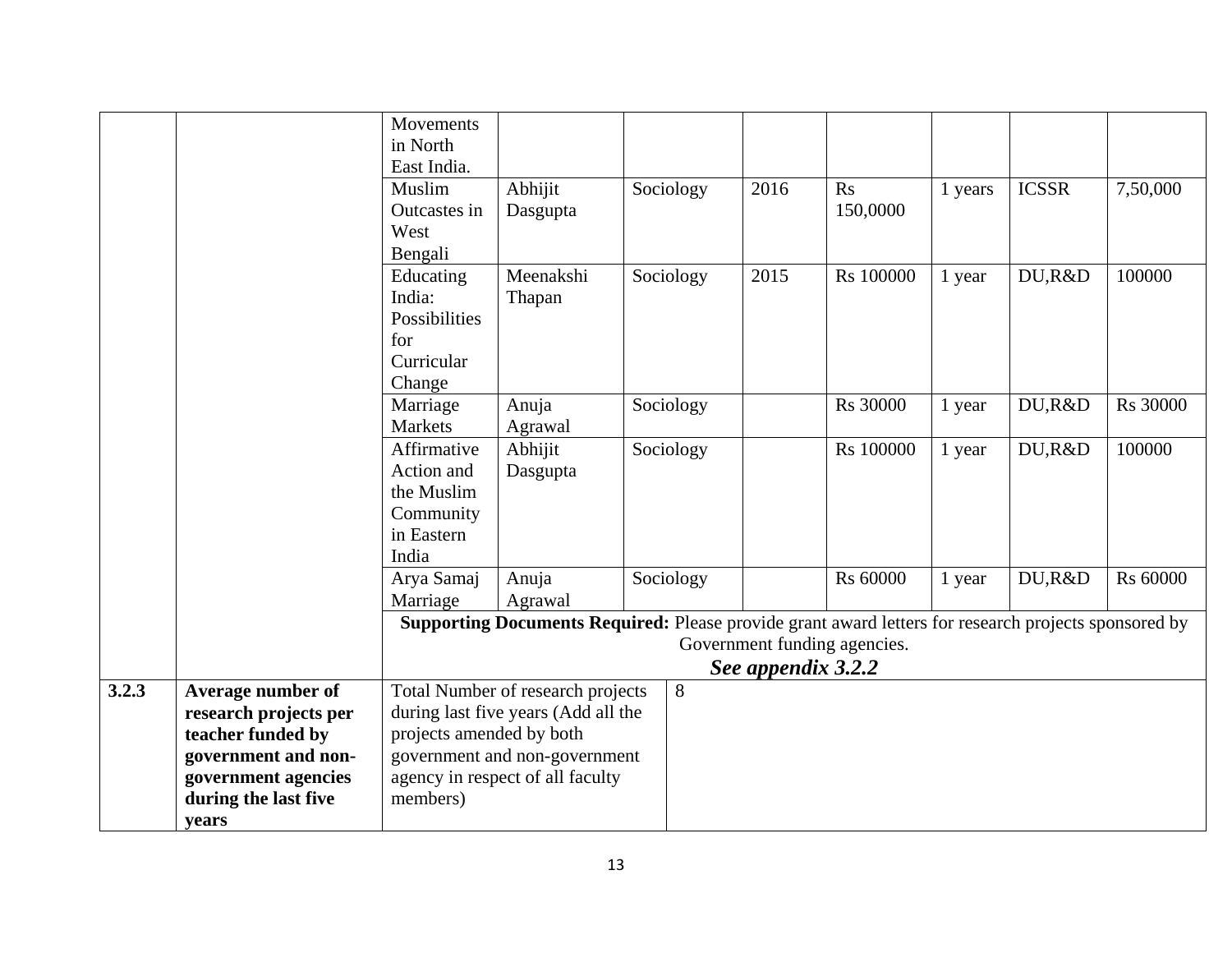|       |                       | Movements<br>in North    |                                                                                                      |           |                    |                              |         |              |          |
|-------|-----------------------|--------------------------|------------------------------------------------------------------------------------------------------|-----------|--------------------|------------------------------|---------|--------------|----------|
|       |                       | East India.              |                                                                                                      |           |                    |                              |         |              |          |
|       |                       | Muslim                   |                                                                                                      |           | 2016               |                              |         | <b>ICSSR</b> |          |
|       |                       | Outcastes in             | Abhijit                                                                                              | Sociology |                    | Rs<br>150,0000               | 1 years |              | 7,50,000 |
|       |                       |                          | Dasgupta                                                                                             |           |                    |                              |         |              |          |
|       |                       | West                     |                                                                                                      |           |                    |                              |         |              |          |
|       |                       | Bengali                  |                                                                                                      |           |                    |                              |         |              |          |
|       |                       | Educating                | Meenakshi                                                                                            | Sociology | 2015               | Rs 100000                    | 1 year  | DU,R&D       | 100000   |
|       |                       | India:                   | Thapan                                                                                               |           |                    |                              |         |              |          |
|       |                       | Possibilities            |                                                                                                      |           |                    |                              |         |              |          |
|       |                       | for                      |                                                                                                      |           |                    |                              |         |              |          |
|       |                       | Curricular               |                                                                                                      |           |                    |                              |         |              |          |
|       |                       | Change                   |                                                                                                      |           |                    |                              |         |              |          |
|       |                       | Marriage                 | Anuja                                                                                                | Sociology |                    | Rs 30000                     | 1 year  | DU,R&D       | Rs 30000 |
|       |                       | Markets                  | Agrawal                                                                                              |           |                    |                              |         |              |          |
|       |                       | Affirmative              | Abhijit                                                                                              | Sociology |                    | Rs 100000                    | 1 year  | DU,R&D       | 100000   |
|       |                       | Action and               | Dasgupta                                                                                             |           |                    |                              |         |              |          |
|       |                       | the Muslim               |                                                                                                      |           |                    |                              |         |              |          |
|       |                       | Community                |                                                                                                      |           |                    |                              |         |              |          |
|       |                       | in Eastern               |                                                                                                      |           |                    |                              |         |              |          |
|       |                       | India                    |                                                                                                      |           |                    |                              |         |              |          |
|       |                       | Arya Samaj               | Anuja                                                                                                | Sociology |                    | Rs 60000                     | 1 year  | DU,R&D       | Rs 60000 |
|       |                       | Marriage                 | Agrawal                                                                                              |           |                    |                              |         |              |          |
|       |                       |                          | Supporting Documents Required: Please provide grant award letters for research projects sponsored by |           |                    |                              |         |              |          |
|       |                       |                          |                                                                                                      |           |                    | Government funding agencies. |         |              |          |
|       |                       |                          |                                                                                                      |           | See appendix 3.2.2 |                              |         |              |          |
| 3.2.3 | Average number of     |                          | Total Number of research projects                                                                    | 8         |                    |                              |         |              |          |
|       | research projects per |                          | during last five years (Add all the                                                                  |           |                    |                              |         |              |          |
|       | teacher funded by     | projects amended by both |                                                                                                      |           |                    |                              |         |              |          |
|       | government and non-   |                          | government and non-government                                                                        |           |                    |                              |         |              |          |
|       | government agencies   |                          | agency in respect of all faculty                                                                     |           |                    |                              |         |              |          |
|       | during the last five  | members)                 |                                                                                                      |           |                    |                              |         |              |          |
|       | years                 |                          |                                                                                                      |           |                    |                              |         |              |          |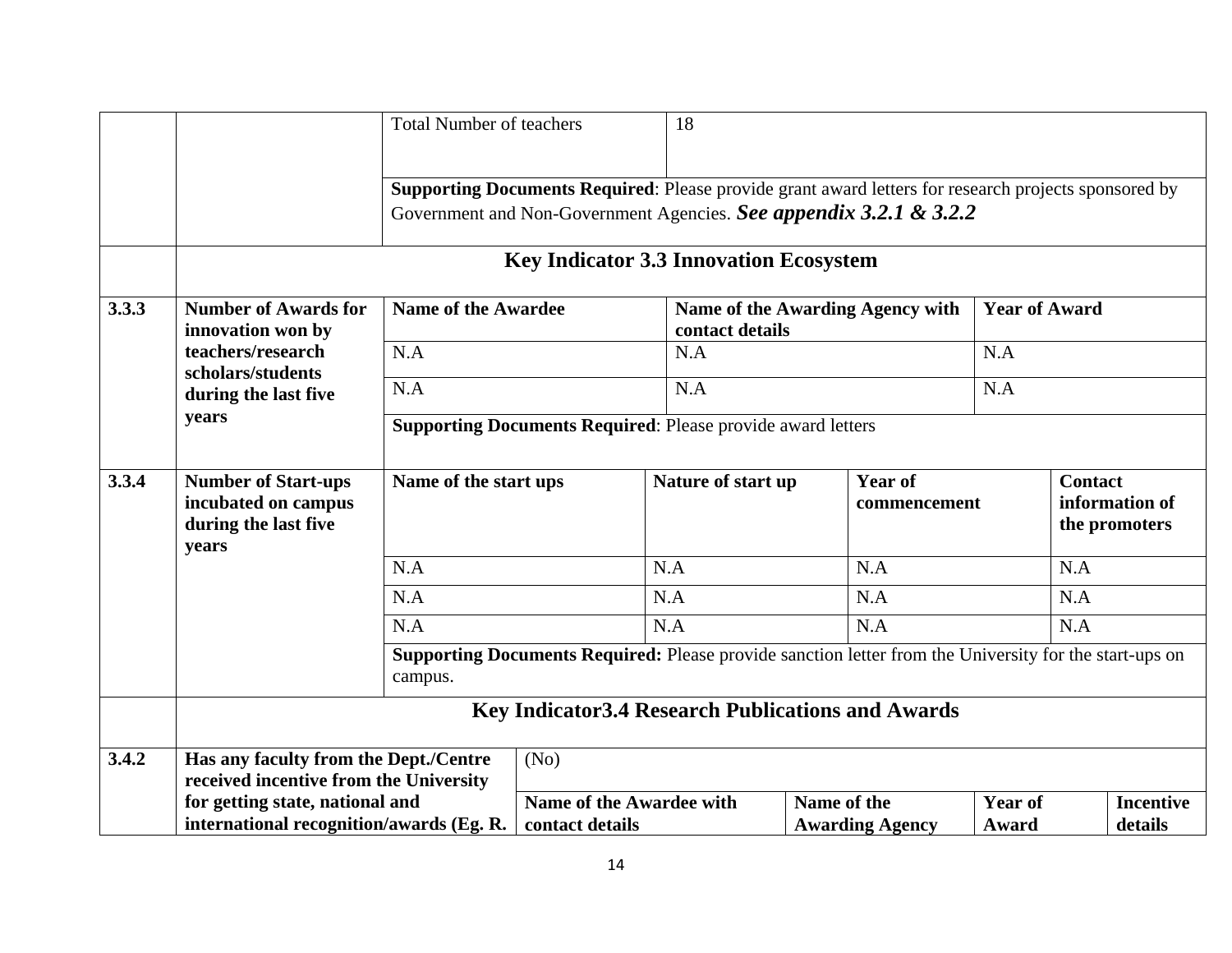|       |                                                                                    | <b>Total Number of teachers</b> |                                                                                                                                                                            | 18                 |             |                                  |                         |                                                   |
|-------|------------------------------------------------------------------------------------|---------------------------------|----------------------------------------------------------------------------------------------------------------------------------------------------------------------------|--------------------|-------------|----------------------------------|-------------------------|---------------------------------------------------|
|       |                                                                                    |                                 | Supporting Documents Required: Please provide grant award letters for research projects sponsored by<br>Government and Non-Government Agencies. See appendix 3.2.1 & 3.2.2 |                    |             |                                  |                         |                                                   |
|       |                                                                                    |                                 | <b>Key Indicator 3.3 Innovation Ecosystem</b>                                                                                                                              |                    |             |                                  |                         |                                                   |
| 3.3.3 | <b>Number of Awards for</b><br>innovation won by                                   | <b>Name of the Awardee</b>      |                                                                                                                                                                            | contact details    |             | Name of the Awarding Agency with | <b>Year of Award</b>    |                                                   |
|       | teachers/research                                                                  | N.A                             |                                                                                                                                                                            | N.A                |             |                                  | N.A                     |                                                   |
|       | scholars/students<br>during the last five                                          | N.A                             |                                                                                                                                                                            | N.A                |             |                                  | N.A                     |                                                   |
|       | years                                                                              |                                 | <b>Supporting Documents Required: Please provide award letters</b>                                                                                                         |                    |             |                                  |                         |                                                   |
| 3.3.4 | <b>Number of Start-ups</b><br>incubated on campus<br>during the last five<br>years | Name of the start ups           |                                                                                                                                                                            | Nature of start up |             | <b>Year of</b><br>commencement   |                         | <b>Contact</b><br>information of<br>the promoters |
|       |                                                                                    | N.A                             |                                                                                                                                                                            | N.A                |             | N.A                              |                         | N.A                                               |
|       |                                                                                    | N.A                             |                                                                                                                                                                            | N.A                |             | N.A                              |                         | N.A                                               |
|       |                                                                                    | N.A                             |                                                                                                                                                                            | N.A                |             | N.A                              |                         | N.A                                               |
|       |                                                                                    | campus.                         | <b>Supporting Documents Required:</b> Please provide sanction letter from the University for the start-ups on                                                              |                    |             |                                  |                         |                                                   |
|       |                                                                                    |                                 | <b>Key Indicator 3.4 Research Publications and Awards</b>                                                                                                                  |                    |             |                                  |                         |                                                   |
| 3.4.2 | Has any faculty from the Dept./Centre<br>received incentive from the University    |                                 | (No)                                                                                                                                                                       |                    |             |                                  |                         |                                                   |
|       | for getting state, national and<br>international recognition/awards (Eg. R.        |                                 | Name of the Awardee with<br>contact details                                                                                                                                |                    | Name of the | <b>Awarding Agency</b>           | <b>Year of</b><br>Award | <b>Incentive</b><br>details                       |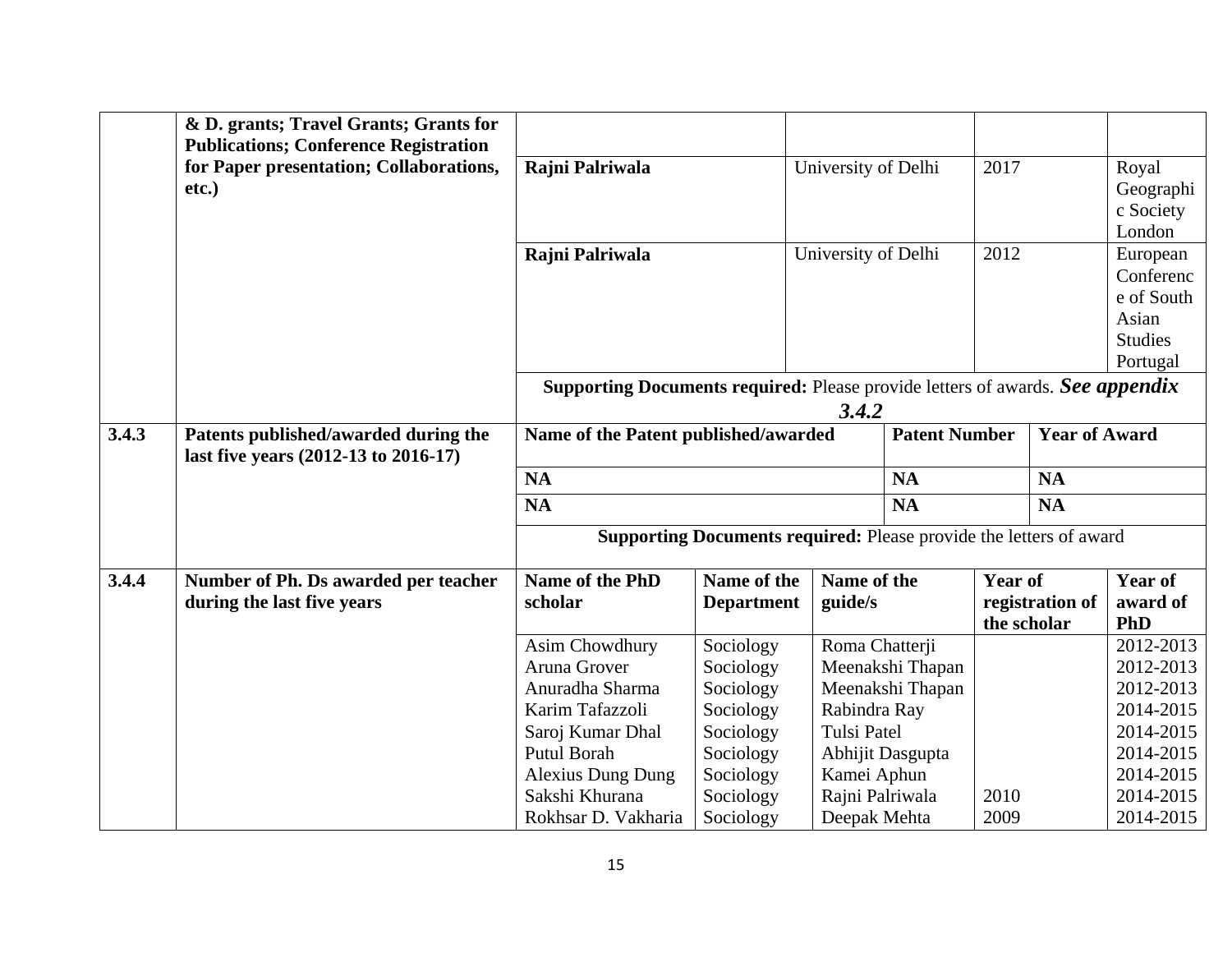|       | & D. grants; Travel Grants; Grants for<br><b>Publications; Conference Registration</b> |                                                                                      |                                                                           |                                 |                  |                      |                 |                        |
|-------|----------------------------------------------------------------------------------------|--------------------------------------------------------------------------------------|---------------------------------------------------------------------------|---------------------------------|------------------|----------------------|-----------------|------------------------|
|       | for Paper presentation; Collaborations,                                                | Rajni Palriwala                                                                      |                                                                           | University of Delhi             |                  | 2017                 |                 | Royal                  |
|       | etc.)                                                                                  |                                                                                      |                                                                           |                                 |                  |                      |                 | Geographi<br>c Society |
|       |                                                                                        |                                                                                      |                                                                           |                                 |                  |                      |                 | London                 |
|       |                                                                                        | Rajni Palriwala                                                                      |                                                                           | University of Delhi             |                  | 2012                 |                 | European               |
|       |                                                                                        |                                                                                      |                                                                           |                                 |                  |                      |                 | Conferenc              |
|       |                                                                                        |                                                                                      |                                                                           |                                 |                  |                      |                 | e of South             |
|       |                                                                                        |                                                                                      |                                                                           |                                 |                  |                      |                 | Asian                  |
|       |                                                                                        |                                                                                      |                                                                           |                                 |                  |                      |                 | <b>Studies</b>         |
|       |                                                                                        |                                                                                      |                                                                           |                                 |                  |                      |                 | Portugal               |
|       |                                                                                        | <b>Supporting Documents required:</b> Please provide letters of awards. See appendix |                                                                           |                                 |                  |                      |                 |                        |
|       |                                                                                        | 3.4.2                                                                                |                                                                           |                                 |                  |                      |                 |                        |
| 3.4.3 | Patents published/awarded during the<br>last five years (2012-13 to 2016-17)           | Name of the Patent published/awarded                                                 |                                                                           |                                 |                  | <b>Patent Number</b> |                 | <b>Year of Award</b>   |
|       |                                                                                        | <b>NA</b>                                                                            |                                                                           |                                 | <b>NA</b>        |                      | <b>NA</b>       |                        |
|       |                                                                                        | <b>NA</b>                                                                            |                                                                           |                                 | <b>NA</b>        |                      | <b>NA</b>       |                        |
|       |                                                                                        |                                                                                      | <b>Supporting Documents required: Please provide the letters of award</b> |                                 |                  |                      |                 |                        |
| 3.4.4 | Number of Ph. Ds awarded per teacher                                                   | Name of the PhD                                                                      | Name of the                                                               | Name of the                     |                  | <b>Year of</b>       |                 | <b>Year of</b>         |
|       | during the last five years                                                             | scholar                                                                              | <b>Department</b>                                                         | guide/s                         |                  |                      | registration of | award of               |
|       |                                                                                        |                                                                                      |                                                                           |                                 |                  |                      | the scholar     | <b>PhD</b>             |
|       |                                                                                        | Asim Chowdhury                                                                       | Sociology                                                                 | Roma Chatterji                  |                  |                      |                 | 2012-2013              |
|       |                                                                                        | Aruna Grover                                                                         | Sociology                                                                 |                                 | Meenakshi Thapan |                      |                 | 2012-2013              |
|       |                                                                                        | Anuradha Sharma                                                                      | Sociology                                                                 |                                 | Meenakshi Thapan |                      |                 | 2012-2013              |
|       |                                                                                        | Karim Tafazzoli                                                                      | Sociology                                                                 | Rabindra Ray                    |                  |                      |                 | 2014-2015              |
|       |                                                                                        | Saroj Kumar Dhal                                                                     | Sociology                                                                 | <b>Tulsi Patel</b>              |                  |                      |                 | 2014-2015              |
|       |                                                                                        | Putul Borah                                                                          | Sociology                                                                 |                                 | Abhijit Dasgupta |                      |                 | 2014-2015              |
|       |                                                                                        | <b>Alexius Dung Dung</b><br>Sakshi Khurana                                           | Sociology                                                                 | Kamei Aphun                     |                  | 2010                 |                 | 2014-2015<br>2014-2015 |
|       |                                                                                        | Rokhsar D. Vakharia                                                                  | Sociology<br>Sociology                                                    | Rajni Palriwala<br>Deepak Mehta |                  | 2009                 |                 | 2014-2015              |
|       |                                                                                        |                                                                                      |                                                                           |                                 |                  |                      |                 |                        |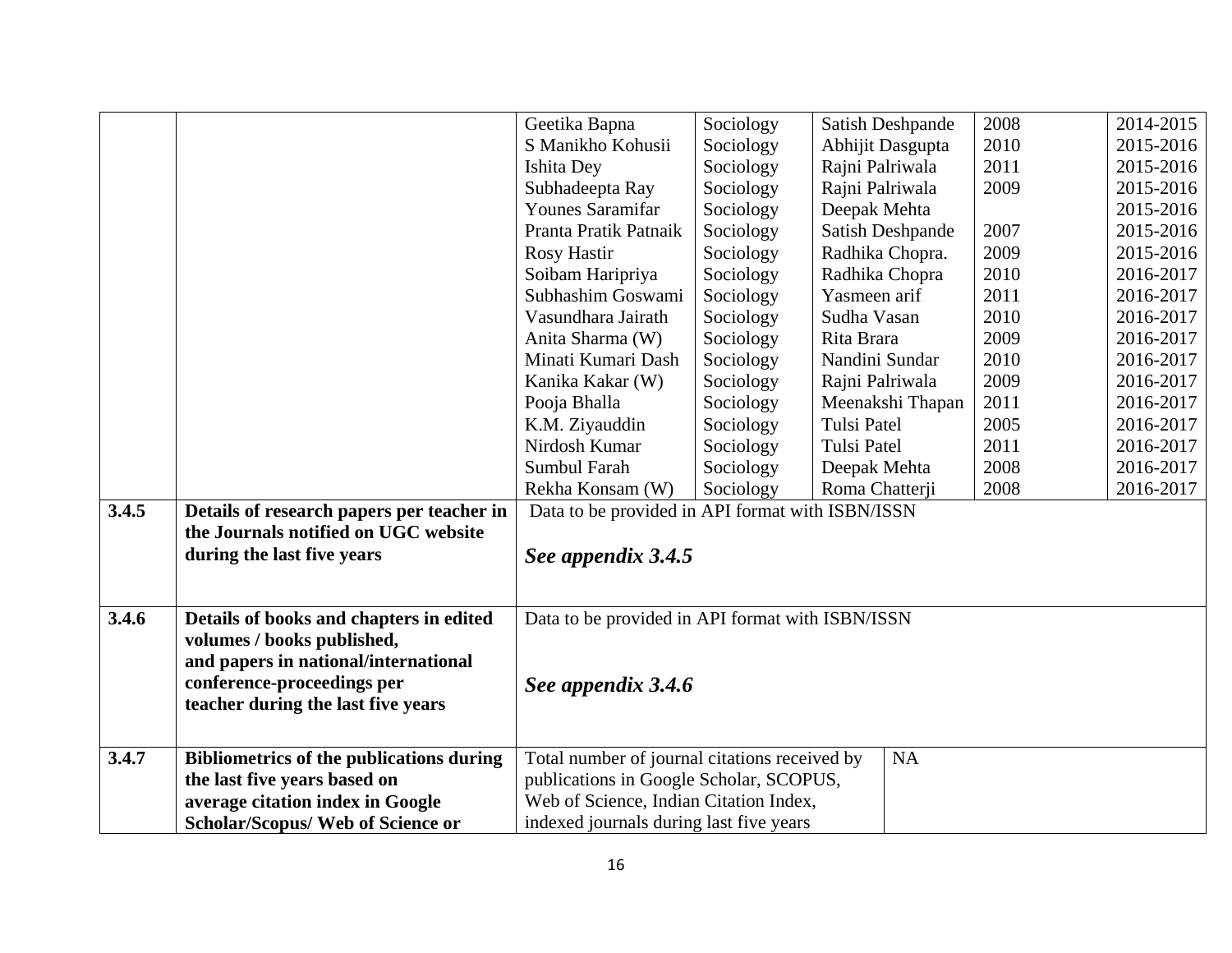|       |                                                 | Geetika Bapna                                    | Sociology | Satish Deshpande   | 2008 | 2014-2015 |
|-------|-------------------------------------------------|--------------------------------------------------|-----------|--------------------|------|-----------|
|       |                                                 | S Manikho Kohusii                                | Sociology | Abhijit Dasgupta   | 2010 | 2015-2016 |
|       |                                                 | Ishita Dey                                       | Sociology | Rajni Palriwala    | 2011 | 2015-2016 |
|       |                                                 | Subhadeepta Ray                                  | Sociology | Rajni Palriwala    | 2009 | 2015-2016 |
|       |                                                 | <b>Younes Saramifar</b>                          | Sociology | Deepak Mehta       |      | 2015-2016 |
|       |                                                 | Pranta Pratik Patnaik                            | Sociology | Satish Deshpande   | 2007 | 2015-2016 |
|       |                                                 | <b>Rosy Hastir</b>                               | Sociology | Radhika Chopra.    | 2009 | 2015-2016 |
|       |                                                 | Soibam Haripriya                                 | Sociology | Radhika Chopra     | 2010 | 2016-2017 |
|       |                                                 | Subhashim Goswami                                | Sociology | Yasmeen arif       | 2011 | 2016-2017 |
|       |                                                 | Vasundhara Jairath                               | Sociology | Sudha Vasan        | 2010 | 2016-2017 |
|       |                                                 | Anita Sharma (W)                                 | Sociology | Rita Brara         | 2009 | 2016-2017 |
|       |                                                 | Minati Kumari Dash                               | Sociology | Nandini Sundar     | 2010 | 2016-2017 |
|       |                                                 | Kanika Kakar (W)                                 | Sociology | Rajni Palriwala    | 2009 | 2016-2017 |
|       |                                                 | Pooja Bhalla                                     | Sociology | Meenakshi Thapan   | 2011 | 2016-2017 |
|       |                                                 | K.M. Ziyauddin                                   | Sociology | Tulsi Patel        | 2005 | 2016-2017 |
|       |                                                 | Nirdosh Kumar                                    | Sociology | <b>Tulsi Patel</b> | 2011 | 2016-2017 |
|       |                                                 | Sumbul Farah                                     | Sociology | Deepak Mehta       | 2008 | 2016-2017 |
|       |                                                 | Rekha Konsam (W)                                 | Sociology | Roma Chatterji     | 2008 | 2016-2017 |
| 3.4.5 | Details of research papers per teacher in       | Data to be provided in API format with ISBN/ISSN |           |                    |      |           |
|       | the Journals notified on UGC website            |                                                  |           |                    |      |           |
|       | during the last five years                      | See appendix 3.4.5                               |           |                    |      |           |
|       |                                                 |                                                  |           |                    |      |           |
|       |                                                 |                                                  |           |                    |      |           |
| 3.4.6 | Details of books and chapters in edited         | Data to be provided in API format with ISBN/ISSN |           |                    |      |           |
|       | volumes / books published,                      |                                                  |           |                    |      |           |
|       | and papers in national/international            |                                                  |           |                    |      |           |
|       | conference-proceedings per                      | See appendix 3.4.6                               |           |                    |      |           |
|       | teacher during the last five years              |                                                  |           |                    |      |           |
|       |                                                 |                                                  |           |                    |      |           |
| 3.4.7 | <b>Bibliometrics of the publications during</b> | Total number of journal citations received by    |           | <b>NA</b>          |      |           |
|       | the last five years based on                    | publications in Google Scholar, SCOPUS,          |           |                    |      |           |
|       | average citation index in Google                | Web of Science, Indian Citation Index,           |           |                    |      |           |
|       | <b>Scholar/Scopus/ Web of Science or</b>        | indexed journals during last five years          |           |                    |      |           |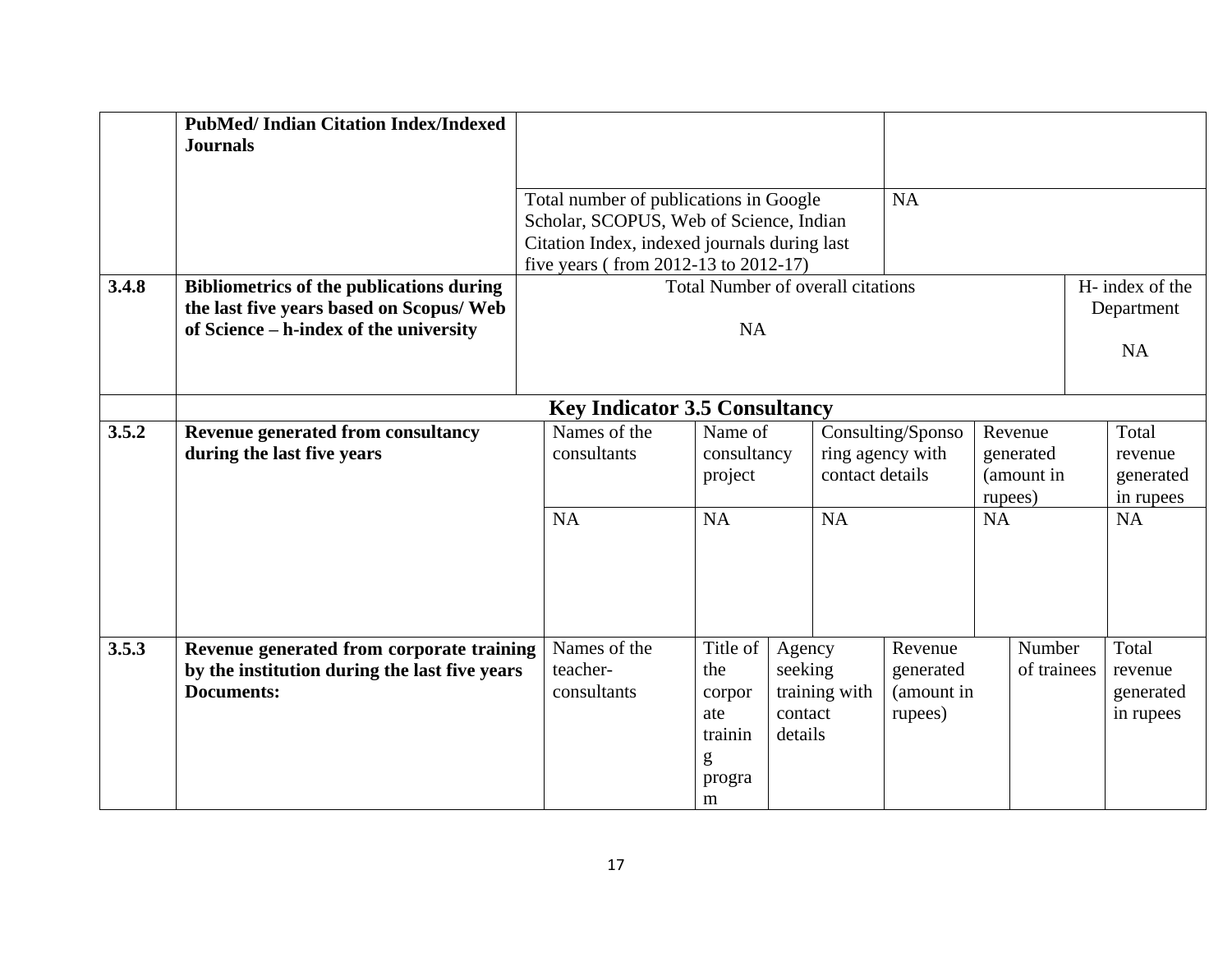|       | <b>PubMed/Indian Citation Index/Indexed</b><br><b>Journals</b>                                                  |                                                                                   |                                                                 |                                         |                                                                                                           |                                               |           |                                            |                                            |
|-------|-----------------------------------------------------------------------------------------------------------------|-----------------------------------------------------------------------------------|-----------------------------------------------------------------|-----------------------------------------|-----------------------------------------------------------------------------------------------------------|-----------------------------------------------|-----------|--------------------------------------------|--------------------------------------------|
|       |                                                                                                                 | Total number of publications in Google<br>Scholar, SCOPUS, Web of Science, Indian |                                                                 |                                         |                                                                                                           | <b>NA</b>                                     |           |                                            |                                            |
|       |                                                                                                                 | Citation Index, indexed journals during last                                      |                                                                 |                                         |                                                                                                           |                                               |           |                                            |                                            |
|       |                                                                                                                 | five years (from 2012-13 to 2012-17)                                              |                                                                 |                                         |                                                                                                           |                                               |           |                                            |                                            |
| 3.4.8 | <b>Bibliometrics of the publications during</b>                                                                 |                                                                                   | Total Number of overall citations                               |                                         |                                                                                                           |                                               |           |                                            | H- index of the                            |
|       | the last five years based on Scopus/ Web                                                                        |                                                                                   |                                                                 |                                         |                                                                                                           |                                               |           |                                            | Department                                 |
|       | of Science - h-index of the university                                                                          |                                                                                   | <b>NA</b>                                                       |                                         |                                                                                                           |                                               |           |                                            | <b>NA</b>                                  |
|       |                                                                                                                 | <b>Key Indicator 3.5 Consultancy</b>                                              |                                                                 |                                         |                                                                                                           |                                               |           |                                            |                                            |
| 3.5.2 | <b>Revenue generated from consultancy</b><br>during the last five years                                         | Names of the<br>consultants                                                       | Name of<br>consultancy<br>project                               |                                         | Consulting/Sponso<br>Revenue<br>ring agency with<br>generated<br>contact details<br>(amount in<br>rupees) |                                               |           | Total<br>revenue<br>generated<br>in rupees |                                            |
|       |                                                                                                                 | <b>NA</b>                                                                         | <b>NA</b>                                                       |                                         | <b>NA</b>                                                                                                 |                                               | <b>NA</b> |                                            | <b>NA</b>                                  |
| 3.5.3 | Revenue generated from corporate training<br>by the institution during the last five years<br><b>Documents:</b> | Names of the<br>teacher-<br>consultants                                           | Title of<br>the<br>corpor<br>ate<br>trainin<br>g<br>progra<br>m | Agency<br>seeking<br>contact<br>details | training with                                                                                             | Revenue<br>generated<br>(amount in<br>rupees) |           | Number<br>of trainees                      | Total<br>revenue<br>generated<br>in rupees |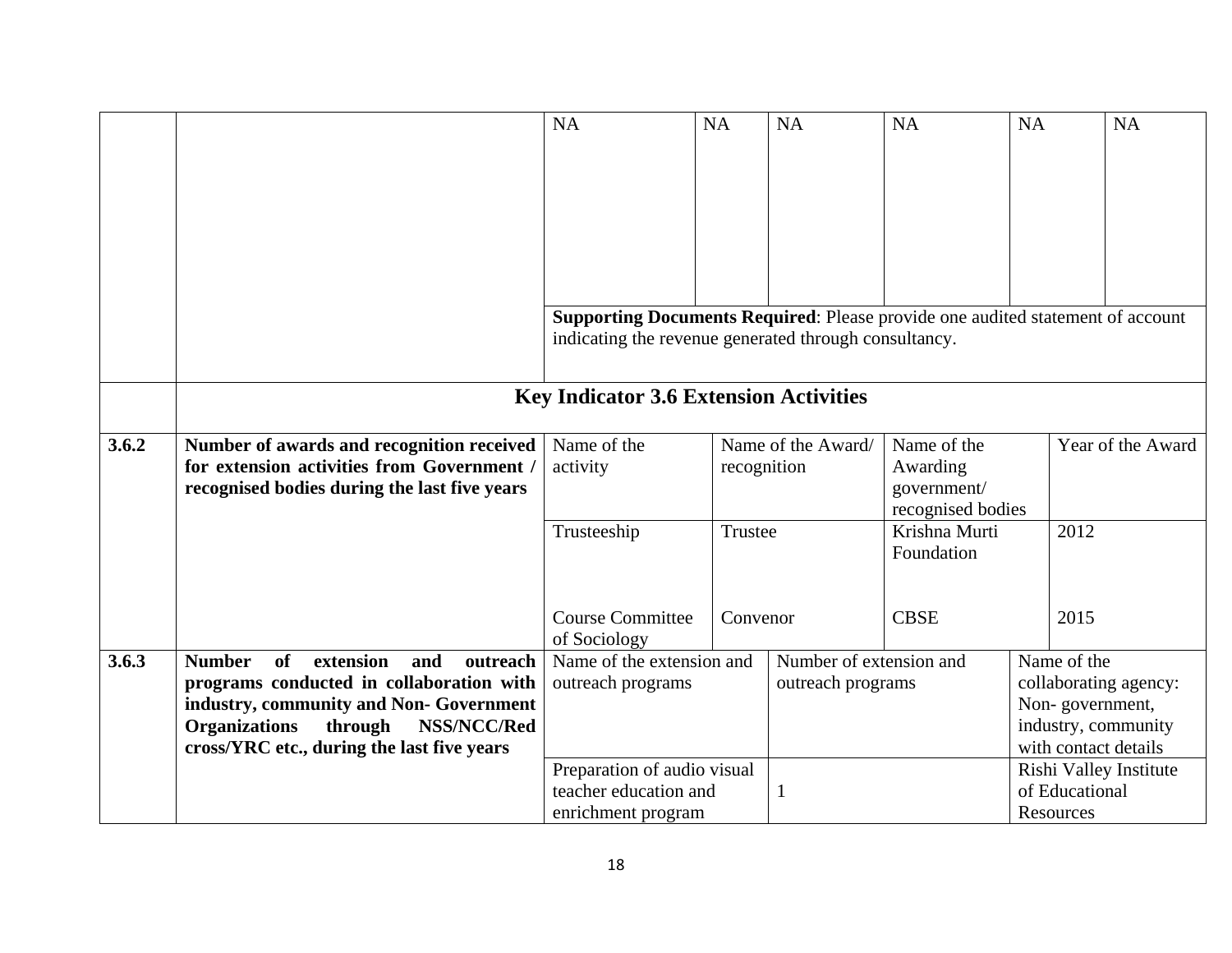|       |                                                                                              | <b>NA</b>                                                                      | <b>NA</b>   | <b>NA</b>               | <b>NA</b>         | NA                                       | <b>NA</b>                                   |  |
|-------|----------------------------------------------------------------------------------------------|--------------------------------------------------------------------------------|-------------|-------------------------|-------------------|------------------------------------------|---------------------------------------------|--|
|       |                                                                                              |                                                                                |             |                         |                   |                                          |                                             |  |
|       |                                                                                              |                                                                                |             |                         |                   |                                          |                                             |  |
|       |                                                                                              |                                                                                |             |                         |                   |                                          |                                             |  |
|       |                                                                                              |                                                                                |             |                         |                   |                                          |                                             |  |
|       |                                                                                              |                                                                                |             |                         |                   |                                          |                                             |  |
|       |                                                                                              |                                                                                |             |                         |                   |                                          |                                             |  |
|       |                                                                                              |                                                                                |             |                         |                   |                                          |                                             |  |
|       |                                                                                              | Supporting Documents Required: Please provide one audited statement of account |             |                         |                   |                                          |                                             |  |
|       |                                                                                              | indicating the revenue generated through consultancy.                          |             |                         |                   |                                          |                                             |  |
|       |                                                                                              |                                                                                |             |                         |                   |                                          |                                             |  |
|       |                                                                                              |                                                                                |             |                         |                   |                                          |                                             |  |
|       |                                                                                              | <b>Key Indicator 3.6 Extension Activities</b>                                  |             |                         |                   |                                          |                                             |  |
| 3.6.2 |                                                                                              | Name of the                                                                    |             | Name of the Award/      | Name of the       |                                          | Year of the Award                           |  |
|       | Number of awards and recognition received<br>for extension activities from Government /      | activity                                                                       | recognition |                         |                   | Awarding                                 |                                             |  |
|       | recognised bodies during the last five years                                                 |                                                                                |             |                         | government/       |                                          |                                             |  |
|       |                                                                                              |                                                                                |             |                         | recognised bodies |                                          |                                             |  |
|       |                                                                                              | Trusteeship                                                                    | Trustee     |                         | Krishna Murti     |                                          | 2012                                        |  |
|       |                                                                                              |                                                                                |             |                         | Foundation        |                                          |                                             |  |
|       |                                                                                              |                                                                                |             |                         |                   |                                          |                                             |  |
|       |                                                                                              |                                                                                |             |                         |                   |                                          |                                             |  |
|       |                                                                                              | <b>Course Committee</b>                                                        | Convenor    |                         | <b>CBSE</b>       |                                          | 2015                                        |  |
|       |                                                                                              | of Sociology                                                                   |             |                         |                   |                                          |                                             |  |
| 3.6.3 | extension<br><b>Number</b><br>of<br>and<br>outreach                                          | Name of the extension and                                                      |             | Number of extension and |                   |                                          | Name of the                                 |  |
|       | programs conducted in collaboration with                                                     | outreach programs                                                              |             | outreach programs       |                   |                                          | collaborating agency:                       |  |
|       | industry, community and Non- Government                                                      |                                                                                |             |                         |                   |                                          | Non-government,                             |  |
|       | <b>Organizations</b><br>through<br>NSS/NCC/Red<br>cross/YRC etc., during the last five years |                                                                                |             |                         |                   |                                          | industry, community<br>with contact details |  |
|       |                                                                                              | Preparation of audio visual                                                    |             |                         |                   |                                          |                                             |  |
|       |                                                                                              | teacher education and                                                          |             |                         |                   | Rishi Valley Institute<br>of Educational |                                             |  |
|       |                                                                                              | enrichment program                                                             |             |                         |                   | Resources                                |                                             |  |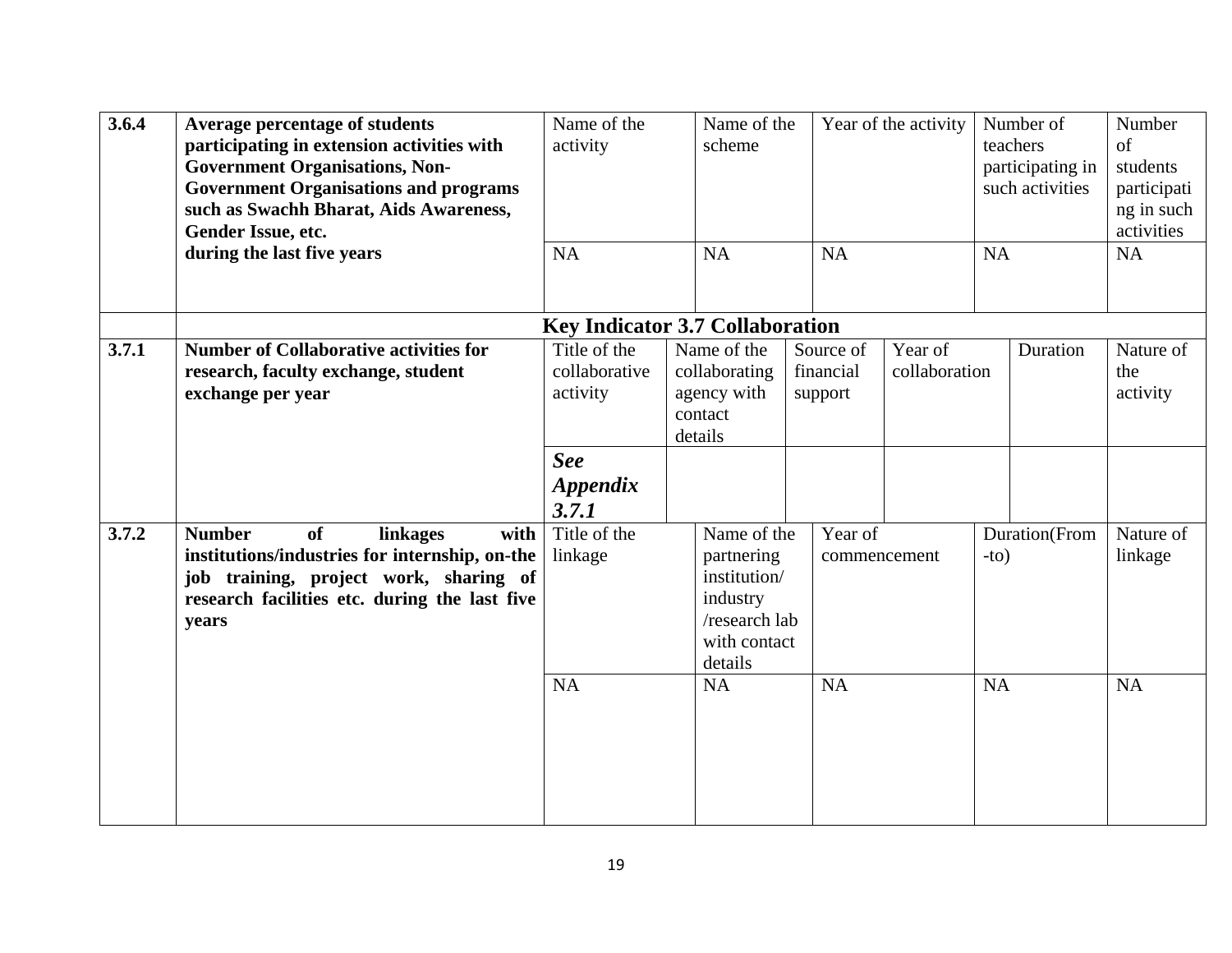| 3.6.4 | <b>Average percentage of students</b><br>participating in extension activities with<br><b>Government Organisations, Non-</b><br><b>Government Organisations and programs</b><br>such as Swachh Bharat, Aids Awareness,<br>Gender Issue, etc.<br>during the last five years | Name of the<br>activity<br><b>NA</b>      | Name of the<br>scheme<br><b>NA</b>                                                                | Year of the activity<br><b>NA</b> |                          |           | Number of<br>teachers<br>participating in<br>such activities<br><b>NA</b> | Number<br>$\sigma$ f<br>students<br>participati<br>ng in such<br>activities<br><b>NA</b> |
|-------|----------------------------------------------------------------------------------------------------------------------------------------------------------------------------------------------------------------------------------------------------------------------------|-------------------------------------------|---------------------------------------------------------------------------------------------------|-----------------------------------|--------------------------|-----------|---------------------------------------------------------------------------|------------------------------------------------------------------------------------------|
|       |                                                                                                                                                                                                                                                                            | <b>Key Indicator 3.7 Collaboration</b>    |                                                                                                   |                                   |                          |           |                                                                           |                                                                                          |
| 3.7.1 | <b>Number of Collaborative activities for</b><br>research, faculty exchange, student<br>exchange per year                                                                                                                                                                  | Title of the<br>collaborative<br>activity | Name of the<br>collaborating<br>agency with<br>contact<br>details                                 | Source of<br>financial<br>support | Year of<br>collaboration |           | Duration                                                                  | Nature of<br>the<br>activity                                                             |
|       |                                                                                                                                                                                                                                                                            | <b>See</b>                                |                                                                                                   |                                   |                          |           |                                                                           |                                                                                          |
|       |                                                                                                                                                                                                                                                                            | <i><b>Appendix</b></i><br>3.7.1           |                                                                                                   |                                   |                          |           |                                                                           |                                                                                          |
| 3.7.2 | <b>Number</b><br><b>of</b><br>linkages<br>with<br>institutions/industries for internship, on-the<br>job training, project work, sharing of<br>research facilities etc. during the last five<br>years                                                                       | Title of the<br>linkage                   | Name of the<br>partnering<br>institution/<br>industry<br>/research lab<br>with contact<br>details | Year of<br>commencement           |                          | $-to)$    | Duration(From                                                             | Nature of<br>linkage                                                                     |
|       |                                                                                                                                                                                                                                                                            | <b>NA</b>                                 | <b>NA</b>                                                                                         | <b>NA</b>                         |                          | <b>NA</b> |                                                                           | <b>NA</b>                                                                                |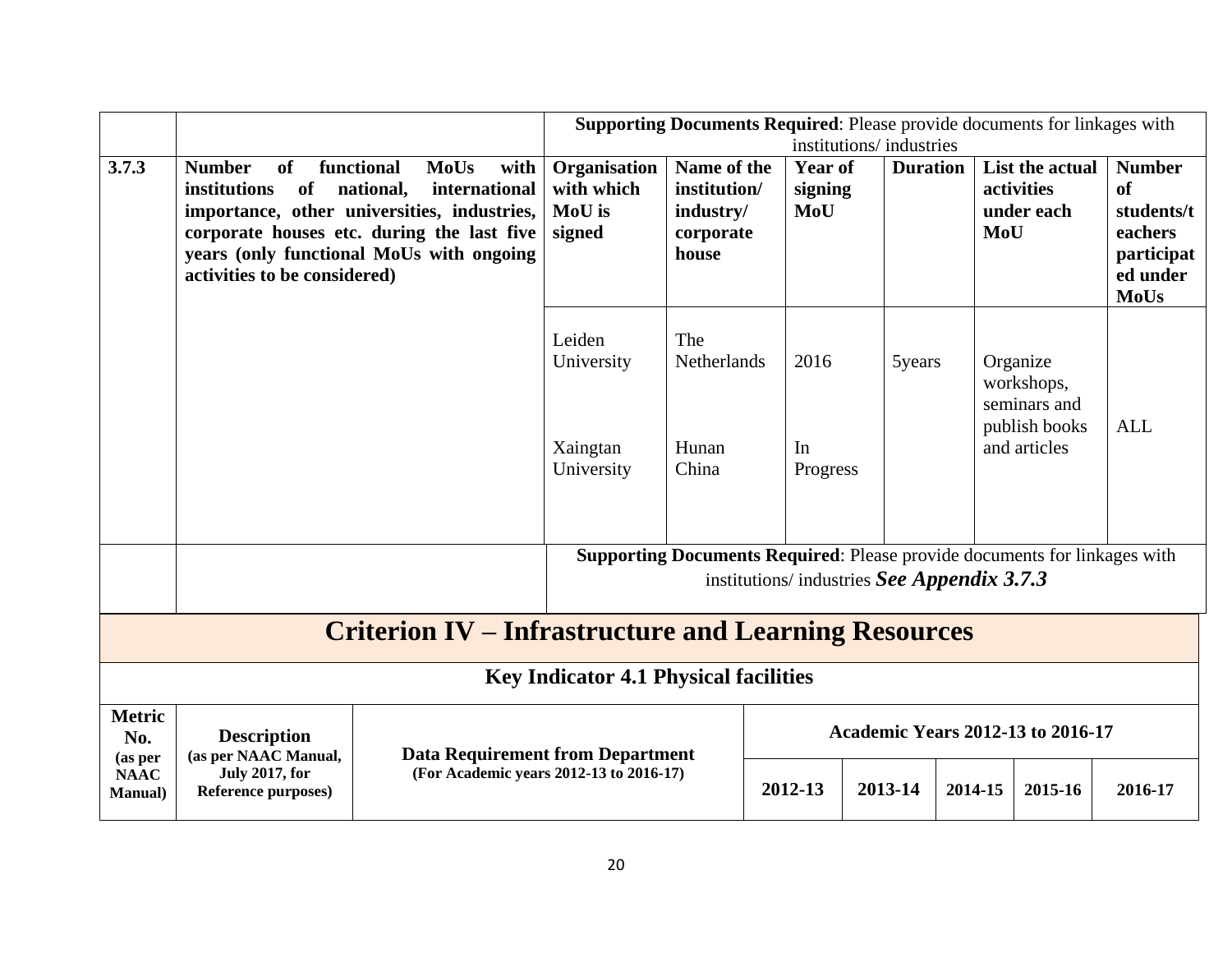|                                 |                                                                                                |                                                                                                                                                                                            |                                                                                     |                                                                |                                                     | <b>Supporting Documents Required:</b> Please provide documents for linkages with                                                |     |                                                                         |                                                                                       |
|---------------------------------|------------------------------------------------------------------------------------------------|--------------------------------------------------------------------------------------------------------------------------------------------------------------------------------------------|-------------------------------------------------------------------------------------|----------------------------------------------------------------|-----------------------------------------------------|---------------------------------------------------------------------------------------------------------------------------------|-----|-------------------------------------------------------------------------|---------------------------------------------------------------------------------------|
| 3.7.3                           | <b>Number</b><br>functional<br><b>of</b><br>of<br>institutions<br>activities to be considered) | <b>MoUs</b><br>with<br>national,<br>international<br>importance, other universities, industries,<br>corporate houses etc. during the last five<br>years (only functional MoUs with ongoing | Organisation<br>with which<br>MoU is<br>signed                                      | Name of the<br>institution/<br>industry/<br>corporate<br>house | <b>Year of</b><br>signing<br>MoU                    | institutions/industries<br><b>Duration</b>                                                                                      | MoU | List the actual<br>activities<br>under each                             | <b>Number</b><br>of<br>students/t<br>eachers<br>participat<br>ed under<br><b>MoUs</b> |
|                                 |                                                                                                |                                                                                                                                                                                            | Leiden<br>University<br>Xaingtan<br>University                                      | The<br>Netherlands<br>Hunan<br>China                           | 2016<br>In<br>Progress                              | 5years                                                                                                                          |     | Organize<br>workshops,<br>seminars and<br>publish books<br>and articles | <b>ALL</b>                                                                            |
|                                 |                                                                                                |                                                                                                                                                                                            |                                                                                     |                                                                |                                                     | <b>Supporting Documents Required:</b> Please provide documents for linkages with<br>institutions/ industries See Appendix 3.7.3 |     |                                                                         |                                                                                       |
|                                 |                                                                                                | <b>Criterion IV – Infrastructure and Learning Resources</b>                                                                                                                                |                                                                                     |                                                                |                                                     |                                                                                                                                 |     |                                                                         |                                                                                       |
|                                 |                                                                                                |                                                                                                                                                                                            | <b>Key Indicator 4.1 Physical facilities</b>                                        |                                                                |                                                     |                                                                                                                                 |     |                                                                         |                                                                                       |
| <b>Metric</b><br>No.<br>(as per | <b>Description</b><br>(as per NAAC Manual,                                                     |                                                                                                                                                                                            | <b>Academic Years 2012-13 to 2016-17</b><br><b>Data Requirement from Department</b> |                                                                |                                                     |                                                                                                                                 |     |                                                                         |                                                                                       |
| <b>NAAC</b><br><b>Manual</b> )  | <b>July 2017, for</b><br>Reference purposes)                                                   | (For Academic years 2012-13 to 2016-17)                                                                                                                                                    |                                                                                     |                                                                | 2012-13<br>2013-14<br>2016-17<br>2014-15<br>2015-16 |                                                                                                                                 |     |                                                                         |                                                                                       |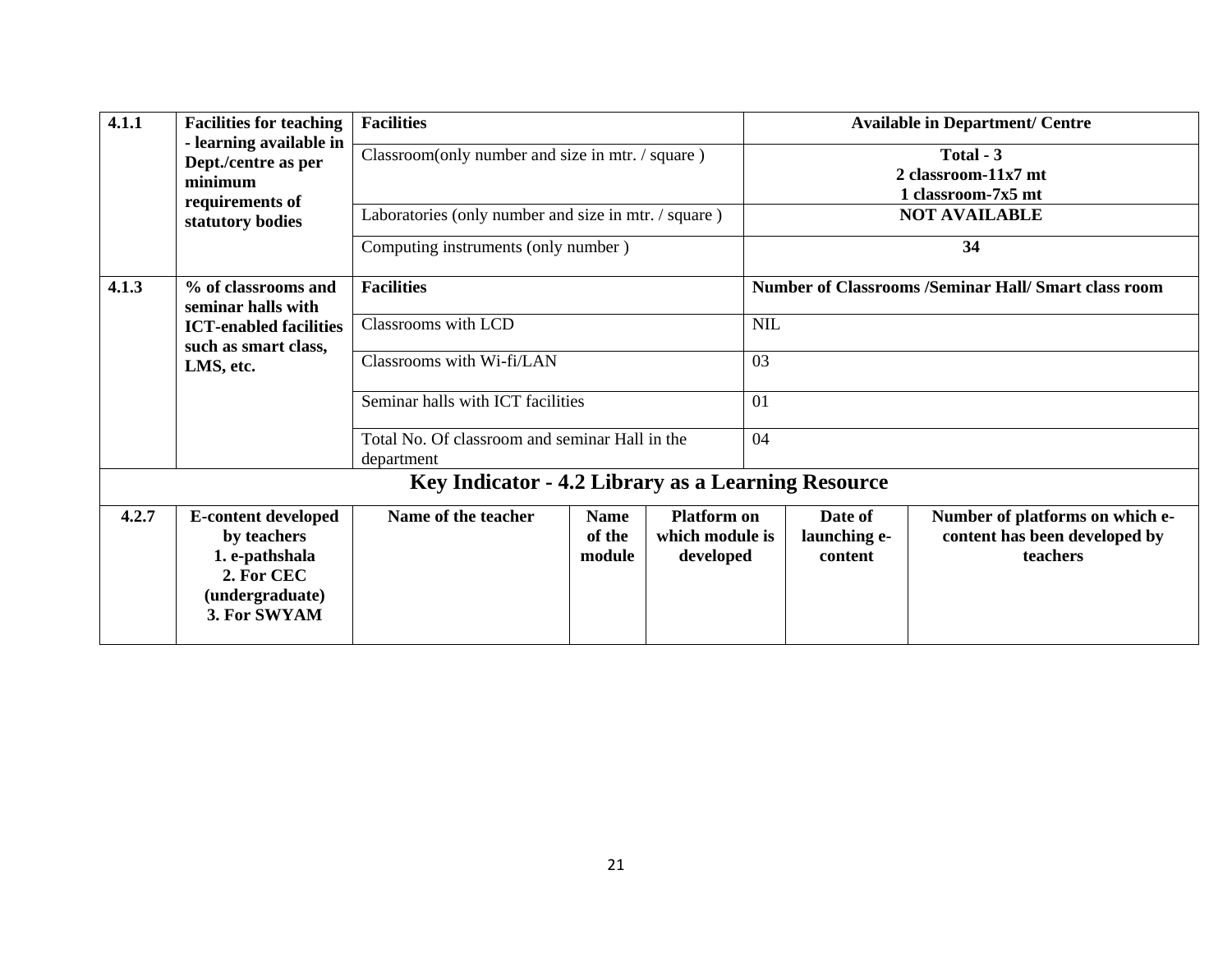| 4.1.1 | <b>Facilities for teaching</b>                                                                               | <b>Facilities</b>                                            |                                 |                                                    |                                    |    | <b>Available in Department/ Centre</b>                                       |  |  |
|-------|--------------------------------------------------------------------------------------------------------------|--------------------------------------------------------------|---------------------------------|----------------------------------------------------|------------------------------------|----|------------------------------------------------------------------------------|--|--|
|       | - learning available in<br>Dept./centre as per<br>minimum<br>requirements of                                 | Classroom(only number and size in mtr. / square)             |                                 |                                                    |                                    |    | Total - 3<br>2 classroom-11x7 mt<br>1 classroom-7x5 mt                       |  |  |
|       | statutory bodies                                                                                             | Laboratories (only number and size in mtr. / square)         |                                 |                                                    | <b>NOT AVAILABLE</b>               |    |                                                                              |  |  |
|       |                                                                                                              | Computing instruments (only number)                          |                                 |                                                    | 34                                 |    |                                                                              |  |  |
| 4.1.3 | % of classrooms and<br>seminar halls with                                                                    | <b>Facilities</b>                                            |                                 |                                                    |                                    |    | <b>Number of Classrooms /Seminar Hall/ Smart class room</b>                  |  |  |
|       | <b>ICT-enabled facilities</b><br>such as smart class,                                                        | <b>Classrooms</b> with LCD                                   |                                 |                                                    | <b>NIL</b>                         |    |                                                                              |  |  |
|       | LMS, etc.                                                                                                    | Classrooms with Wi-fi/LAN                                    |                                 |                                                    | 03                                 |    |                                                                              |  |  |
|       |                                                                                                              | Seminar halls with ICT facilities                            |                                 |                                                    |                                    | 01 |                                                                              |  |  |
|       |                                                                                                              | Total No. Of classroom and seminar Hall in the<br>department |                                 |                                                    |                                    | 04 |                                                                              |  |  |
|       |                                                                                                              | Key Indicator - 4.2 Library as a Learning Resource           |                                 |                                                    |                                    |    |                                                                              |  |  |
| 4.2.7 | <b>E-content developed</b><br>by teachers<br>1. e-pathshala<br>2. For CEC<br>(undergraduate)<br>3. For SWYAM | Name of the teacher                                          | <b>Name</b><br>of the<br>module | <b>Platform on</b><br>which module is<br>developed | Date of<br>launching e-<br>content |    | Number of platforms on which e-<br>content has been developed by<br>teachers |  |  |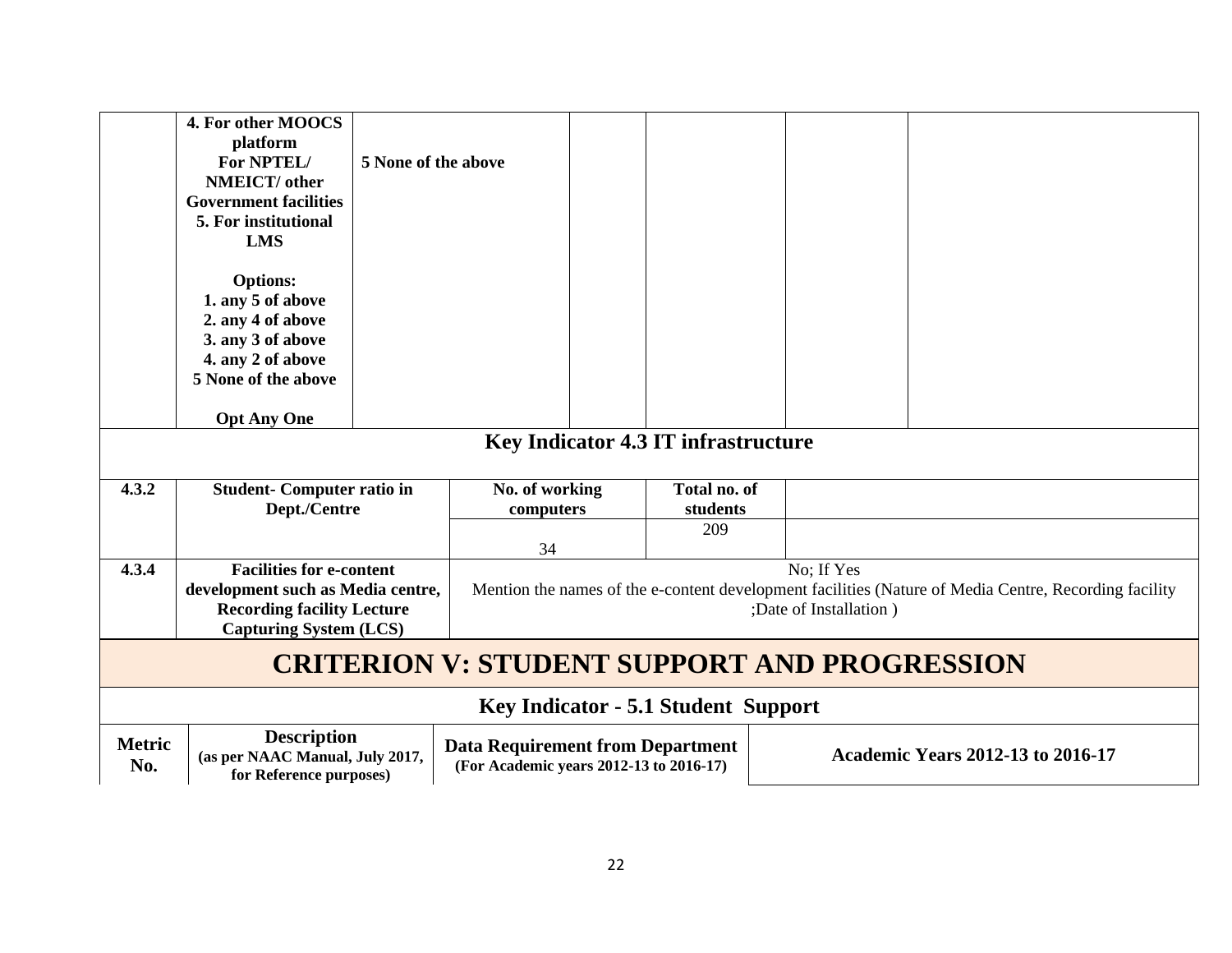|                      | 4. For other MOOCS<br>platform<br>For NPTEL/<br>NMEICT/ other<br><b>Government facilities</b><br>5. For institutional<br><b>LMS</b>                                    | 5 None of the above |                             |  |                                            |                                      |                                                                                                       |  |  |
|----------------------|------------------------------------------------------------------------------------------------------------------------------------------------------------------------|---------------------|-----------------------------|--|--------------------------------------------|--------------------------------------|-------------------------------------------------------------------------------------------------------|--|--|
|                      | <b>Options:</b><br>1. any 5 of above<br>2. any 4 of above                                                                                                              |                     |                             |  |                                            |                                      |                                                                                                       |  |  |
|                      | 3. any 3 of above                                                                                                                                                      |                     |                             |  |                                            |                                      |                                                                                                       |  |  |
|                      | 4. any 2 of above<br>5 None of the above                                                                                                                               |                     |                             |  |                                            |                                      |                                                                                                       |  |  |
|                      |                                                                                                                                                                        |                     |                             |  |                                            |                                      |                                                                                                       |  |  |
|                      | <b>Opt Any One</b><br>Key Indicator 4.3 IT infrastructure                                                                                                              |                     |                             |  |                                            |                                      |                                                                                                       |  |  |
|                      |                                                                                                                                                                        |                     |                             |  |                                            |                                      |                                                                                                       |  |  |
| 4.3.2                | <b>Student-Computer ratio in</b><br>Dept./Centre                                                                                                                       |                     | No. of working<br>computers |  | Total no. of<br>students                   |                                      |                                                                                                       |  |  |
|                      |                                                                                                                                                                        |                     | 34                          |  | 209                                        |                                      |                                                                                                       |  |  |
| 4.3.4                | <b>Facilities for e-content</b><br>development such as Media centre,<br><b>Recording facility Lecture</b><br><b>Capturing System (LCS)</b>                             |                     |                             |  |                                            | No: If Yes<br>;Date of Installation) | Mention the names of the e-content development facilities (Nature of Media Centre, Recording facility |  |  |
|                      | <b>CRITERION V: STUDENT SUPPORT AND PROGRESSION</b>                                                                                                                    |                     |                             |  |                                            |                                      |                                                                                                       |  |  |
|                      |                                                                                                                                                                        |                     |                             |  | <b>Key Indicator - 5.1 Student Support</b> |                                      |                                                                                                       |  |  |
| <b>Metric</b><br>No. | <b>Description</b><br><b>Data Requirement from Department</b><br>(as per NAAC Manual, July 2017,<br>(For Academic years 2012-13 to 2016-17)<br>for Reference purposes) |                     |                             |  |                                            |                                      | <b>Academic Years 2012-13 to 2016-17</b>                                                              |  |  |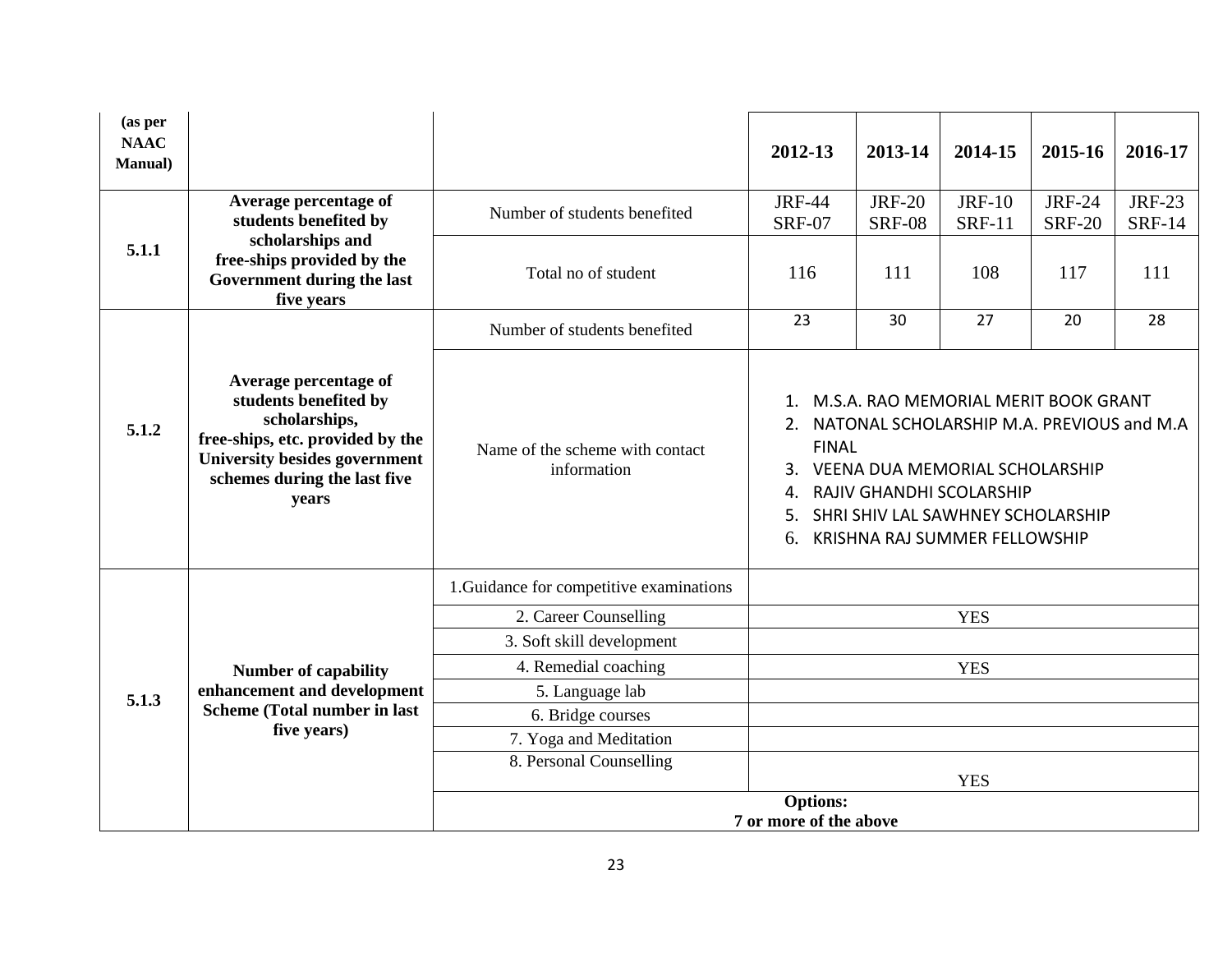| (as per<br><b>NAAC</b><br><b>Manual</b> ) |                                                                                                                                                                                      |                                                | 2012-13                                                                                                                                                                                                                                                                                            | 2013-14                        | 2014-15                        | 2015-16                        | 2016-17                        |
|-------------------------------------------|--------------------------------------------------------------------------------------------------------------------------------------------------------------------------------------|------------------------------------------------|----------------------------------------------------------------------------------------------------------------------------------------------------------------------------------------------------------------------------------------------------------------------------------------------------|--------------------------------|--------------------------------|--------------------------------|--------------------------------|
|                                           | Average percentage of<br>students benefited by                                                                                                                                       | Number of students benefited                   | <b>JRF-44</b><br><b>SRF-07</b>                                                                                                                                                                                                                                                                     | <b>JRF-20</b><br><b>SRF-08</b> | <b>JRF-10</b><br><b>SRF-11</b> | <b>JRF-24</b><br><b>SRF-20</b> | <b>JRF-23</b><br><b>SRF-14</b> |
| 5.1.1                                     | scholarships and<br>free-ships provided by the<br>Government during the last<br>five years                                                                                           | Total no of student                            | 116                                                                                                                                                                                                                                                                                                | 111                            | 108                            | 117                            | 111                            |
|                                           |                                                                                                                                                                                      | Number of students benefited                   | 23                                                                                                                                                                                                                                                                                                 | 30                             | 27                             | 20                             | 28                             |
| 5.1.2                                     | Average percentage of<br>students benefited by<br>scholarships,<br>free-ships, etc. provided by the<br><b>University besides government</b><br>schemes during the last five<br>years | Name of the scheme with contact<br>information | $1_{\cdot}$<br>2.<br>4.<br>5.<br>6.                                                                                                                                                                                                                                                                |                                |                                |                                |                                |
|                                           |                                                                                                                                                                                      | 1. Guidance for competitive examinations       |                                                                                                                                                                                                                                                                                                    |                                |                                |                                |                                |
|                                           |                                                                                                                                                                                      | 2. Career Counselling                          |                                                                                                                                                                                                                                                                                                    |                                | <b>YES</b>                     |                                |                                |
|                                           |                                                                                                                                                                                      | 3. Soft skill development                      |                                                                                                                                                                                                                                                                                                    |                                |                                |                                |                                |
|                                           | <b>Number of capability</b>                                                                                                                                                          | 4. Remedial coaching                           | M.S.A. RAO MEMORIAL MERIT BOOK GRANT<br>NATONAL SCHOLARSHIP M.A. PREVIOUS and M.A<br><b>FINAL</b><br><b>VEENA DUA MEMORIAL SCHOLARSHIP</b><br>RAJIV GHANDHI SCOLARSHIP<br>SHRI SHIV LAL SAWHNEY SCHOLARSHIP<br><b>KRISHNA RAJ SUMMER FELLOWSHIP</b><br><b>YES</b><br><b>YES</b><br><b>Options:</b> |                                |                                |                                |                                |
| 5.1.3                                     | enhancement and development                                                                                                                                                          | 5. Language lab                                |                                                                                                                                                                                                                                                                                                    |                                |                                |                                |                                |
|                                           | <b>Scheme (Total number in last</b>                                                                                                                                                  | 6. Bridge courses                              |                                                                                                                                                                                                                                                                                                    |                                |                                |                                |                                |
|                                           | five years)                                                                                                                                                                          | 7. Yoga and Meditation                         |                                                                                                                                                                                                                                                                                                    |                                |                                |                                |                                |
|                                           |                                                                                                                                                                                      | 8. Personal Counselling                        |                                                                                                                                                                                                                                                                                                    |                                |                                |                                |                                |
|                                           |                                                                                                                                                                                      |                                                |                                                                                                                                                                                                                                                                                                    |                                |                                |                                |                                |
|                                           |                                                                                                                                                                                      |                                                | 7 or more of the above                                                                                                                                                                                                                                                                             |                                |                                |                                |                                |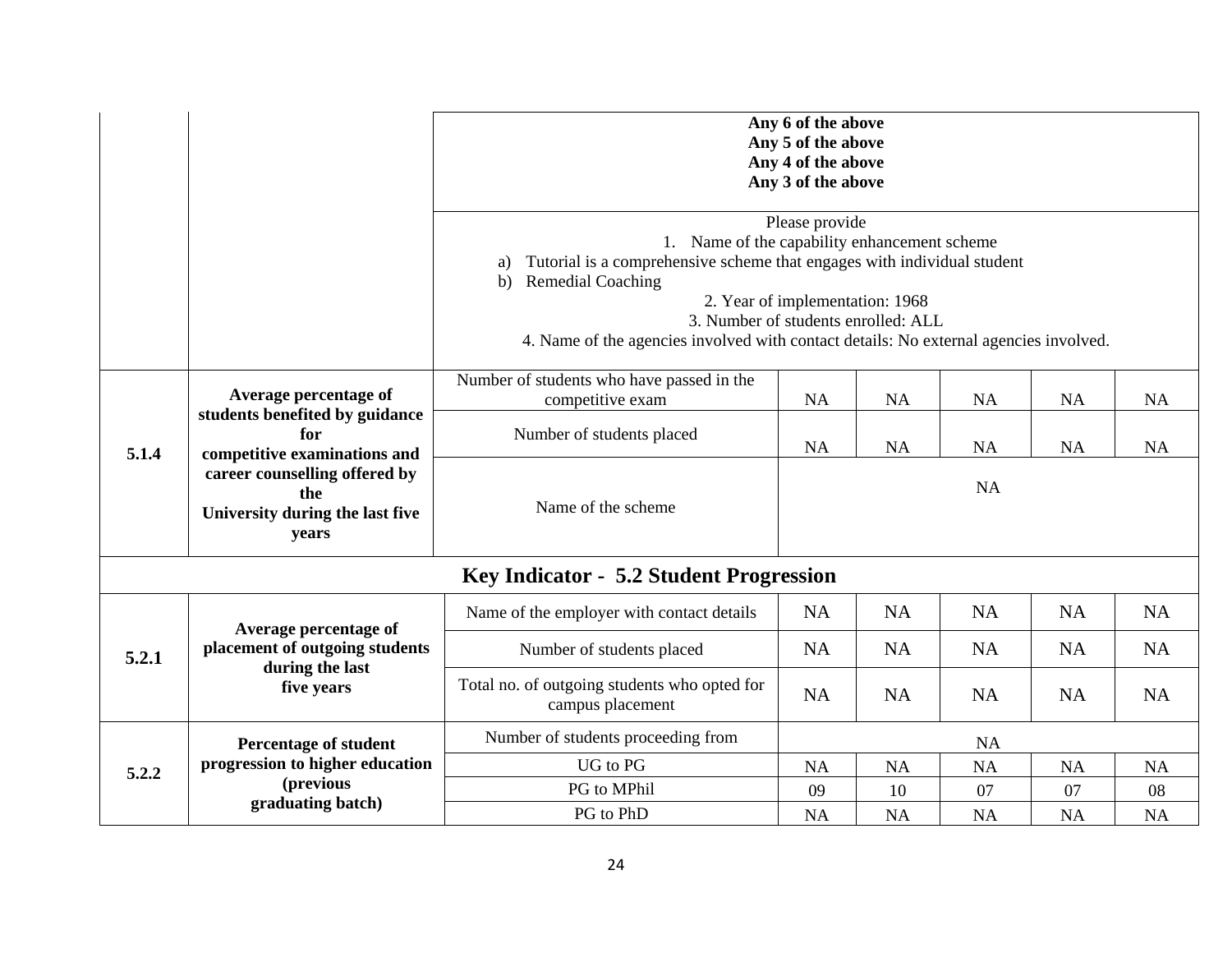|       |                                                                                  |                                                                                                                                                                                                                                                                                                 | Any 6 of the above<br>Any 5 of the above<br>Any 4 of the above<br>Any 3 of the above |           |           |           |           |  |  |  |  |  |  |  |
|-------|----------------------------------------------------------------------------------|-------------------------------------------------------------------------------------------------------------------------------------------------------------------------------------------------------------------------------------------------------------------------------------------------|--------------------------------------------------------------------------------------|-----------|-----------|-----------|-----------|--|--|--|--|--|--|--|
|       |                                                                                  |                                                                                                                                                                                                                                                                                                 |                                                                                      |           |           |           |           |  |  |  |  |  |  |  |
|       |                                                                                  | 1. Name of the capability enhancement scheme<br>Tutorial is a comprehensive scheme that engages with individual student<br>a)<br><b>Remedial Coaching</b><br>b)<br>3. Number of students enrolled: ALL<br>4. Name of the agencies involved with contact details: No external agencies involved. | Please provide<br>2. Year of implementation: 1968                                    |           |           |           |           |  |  |  |  |  |  |  |
|       | Average percentage of                                                            | <b>NA</b>                                                                                                                                                                                                                                                                                       | <b>NA</b>                                                                            | NA        | NA        | <b>NA</b> |           |  |  |  |  |  |  |  |
| 5.1.4 | students benefited by guidance<br>for<br>competitive examinations and            | competitive exam<br>Number of students placed                                                                                                                                                                                                                                                   | <b>NA</b>                                                                            | <b>NA</b> | <b>NA</b> | <b>NA</b> | NA        |  |  |  |  |  |  |  |
|       | career counselling offered by<br>the<br>University during the last five<br>years | Name of the scheme                                                                                                                                                                                                                                                                              | <b>NA</b>                                                                            |           |           |           |           |  |  |  |  |  |  |  |
|       |                                                                                  | Key Indicator - 5.2 Student Progression                                                                                                                                                                                                                                                         |                                                                                      |           |           |           |           |  |  |  |  |  |  |  |
|       | Average percentage of                                                            | Name of the employer with contact details                                                                                                                                                                                                                                                       | <b>NA</b>                                                                            | <b>NA</b> | <b>NA</b> | <b>NA</b> | <b>NA</b> |  |  |  |  |  |  |  |
| 5.2.1 | placement of outgoing students                                                   | Number of students placed                                                                                                                                                                                                                                                                       | <b>NA</b>                                                                            | <b>NA</b> | <b>NA</b> | <b>NA</b> | <b>NA</b> |  |  |  |  |  |  |  |
|       | during the last<br>five years                                                    | Total no. of outgoing students who opted for<br>campus placement                                                                                                                                                                                                                                | <b>NA</b>                                                                            | <b>NA</b> | <b>NA</b> | <b>NA</b> | <b>NA</b> |  |  |  |  |  |  |  |
|       | Percentage of student                                                            | Number of students proceeding from                                                                                                                                                                                                                                                              |                                                                                      |           | <b>NA</b> |           |           |  |  |  |  |  |  |  |
| 5.2.2 | progression to higher education                                                  | <b>UG</b> to PG                                                                                                                                                                                                                                                                                 | NA                                                                                   | NA        | <b>NA</b> | NA        | <b>NA</b> |  |  |  |  |  |  |  |
|       | (previous                                                                        | PG to MPhil                                                                                                                                                                                                                                                                                     | 09                                                                                   | 10        | 07        | 07        | 08        |  |  |  |  |  |  |  |
|       | graduating batch)                                                                | PG to PhD                                                                                                                                                                                                                                                                                       | <b>NA</b>                                                                            | <b>NA</b> | <b>NA</b> | <b>NA</b> | <b>NA</b> |  |  |  |  |  |  |  |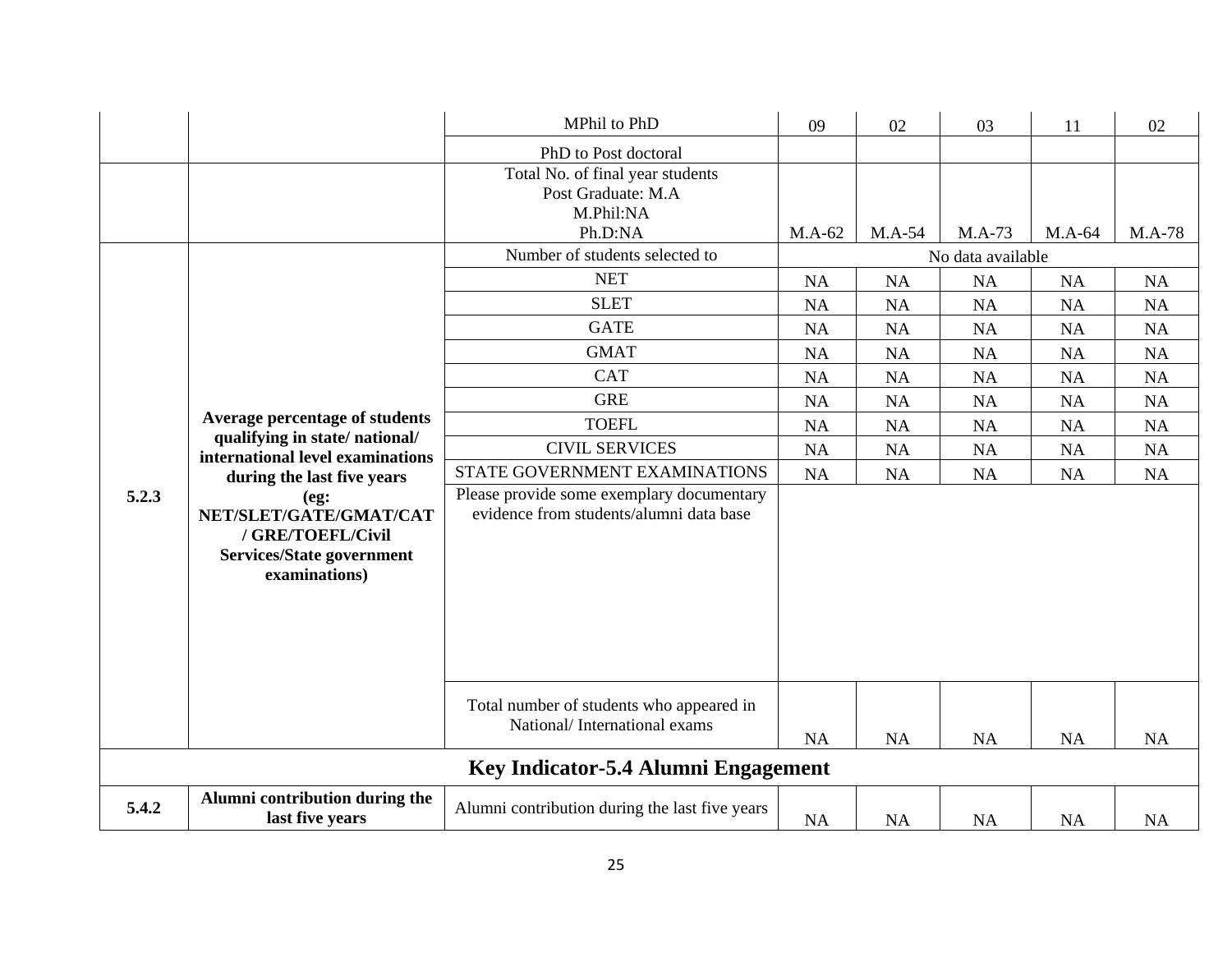|       |                                                                                                                                   | MPhil to PhD                                                                                                                     | 09        | 02                | 03        | 11        | 02        |  |  |  |
|-------|-----------------------------------------------------------------------------------------------------------------------------------|----------------------------------------------------------------------------------------------------------------------------------|-----------|-------------------|-----------|-----------|-----------|--|--|--|
|       |                                                                                                                                   | PhD to Post doctoral                                                                                                             |           |                   |           |           |           |  |  |  |
|       |                                                                                                                                   | Total No. of final year students<br>Post Graduate: M.A<br>M.Phil:NA<br>Ph.D:NA                                                   | $M.A-62$  | M.A-54            | $M.A-73$  | M.A-64    | M.A-78    |  |  |  |
|       |                                                                                                                                   | Number of students selected to                                                                                                   |           | No data available |           |           |           |  |  |  |
|       |                                                                                                                                   | <b>NET</b>                                                                                                                       |           | NA                | NA        | NA        | NA        |  |  |  |
|       |                                                                                                                                   | <b>SLET</b>                                                                                                                      | <b>NA</b> | <b>NA</b>         | <b>NA</b> | <b>NA</b> | <b>NA</b> |  |  |  |
|       |                                                                                                                                   | <b>GATE</b>                                                                                                                      | <b>NA</b> | NA                | <b>NA</b> | NA        | NA        |  |  |  |
|       |                                                                                                                                   | <b>GMAT</b>                                                                                                                      | <b>NA</b> | NA                | NA        | <b>NA</b> | NA        |  |  |  |
|       |                                                                                                                                   | <b>CAT</b>                                                                                                                       | NA        | NA                | <b>NA</b> | NA        | NA        |  |  |  |
|       |                                                                                                                                   | <b>GRE</b>                                                                                                                       | NA        | NA                | <b>NA</b> | NA        | NA        |  |  |  |
|       | Average percentage of students<br>qualifying in state/national/<br>international level examinations<br>during the last five years | <b>TOEFL</b>                                                                                                                     |           | <b>NA</b>         | <b>NA</b> | <b>NA</b> | <b>NA</b> |  |  |  |
|       |                                                                                                                                   | <b>CIVIL SERVICES</b>                                                                                                            | NA        | <b>NA</b>         | <b>NA</b> | <b>NA</b> | NA        |  |  |  |
|       |                                                                                                                                   | STATE GOVERNMENT EXAMINATIONS                                                                                                    | NA        | NA                | NA        | NA        | NA        |  |  |  |
| 5.2.3 | (eg:<br>NET/SLET/GATE/GMAT/CAT<br>/ GRE/TOEFL/Civil<br><b>Services/State government</b><br>examinations)                          | Please provide some exemplary documentary<br>evidence from students/alumni data base<br>Total number of students who appeared in |           |                   |           |           |           |  |  |  |
|       |                                                                                                                                   | National/International exams                                                                                                     | <b>NA</b> | NA                | <b>NA</b> | <b>NA</b> | <b>NA</b> |  |  |  |
|       |                                                                                                                                   | Key Indicator-5.4 Alumni Engagement                                                                                              |           |                   |           |           |           |  |  |  |
| 5.4.2 | Alumni contribution during the<br>last five years                                                                                 | Alumni contribution during the last five years                                                                                   | NA        | <b>NA</b>         | <b>NA</b> | <b>NA</b> | <b>NA</b> |  |  |  |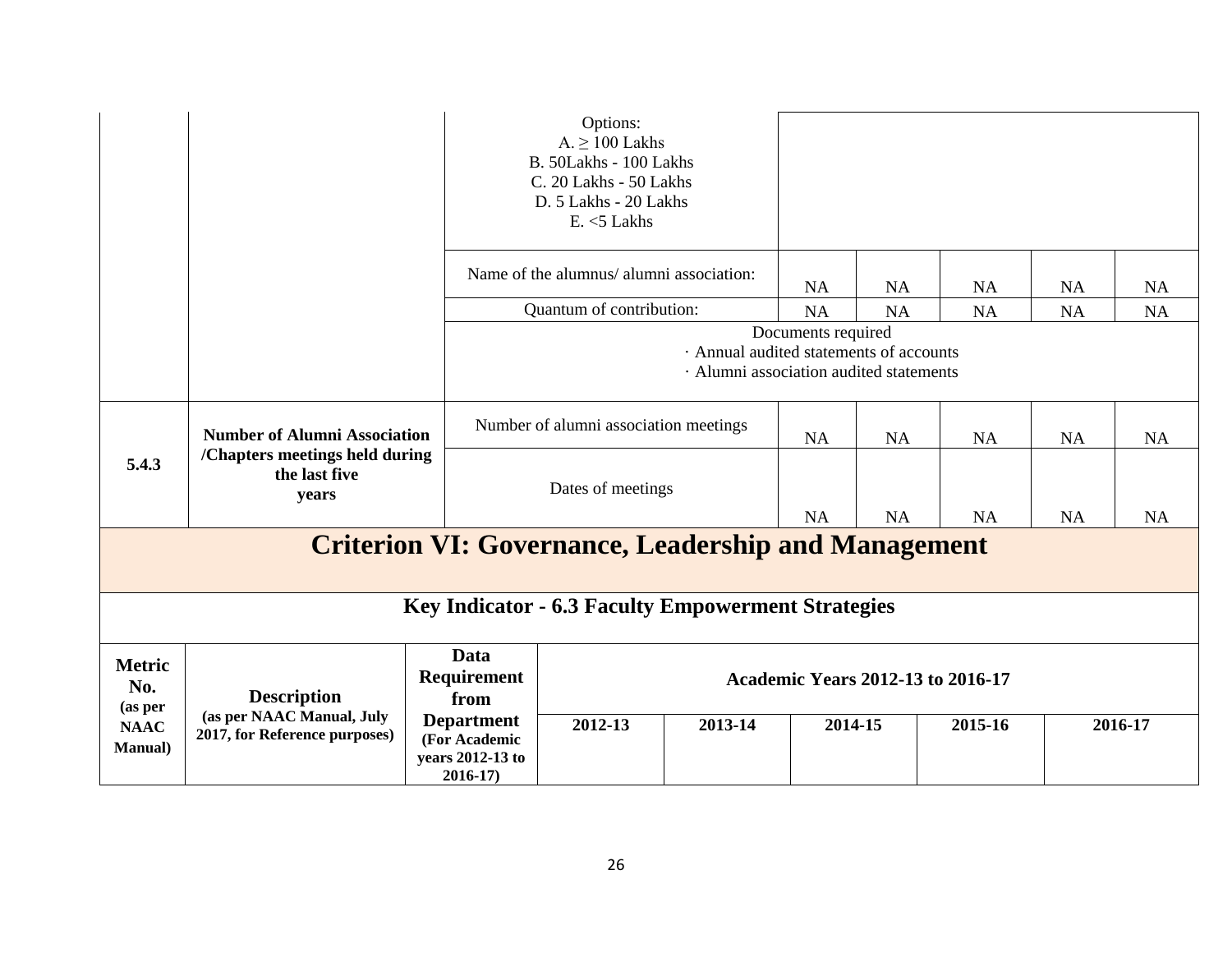|                                                                                                          |                                                            |                                                                       | Options:<br>$A. \geq 100$ Lakhs<br>B. 50Lakhs - 100 Lakhs<br>C. 20 Lakhs - 50 Lakhs<br>D. 5 Lakhs - 20 Lakhs<br>$E. < 5$ Lakhs |                                                                                    |                    |           |           |           |           |
|----------------------------------------------------------------------------------------------------------|------------------------------------------------------------|-----------------------------------------------------------------------|--------------------------------------------------------------------------------------------------------------------------------|------------------------------------------------------------------------------------|--------------------|-----------|-----------|-----------|-----------|
|                                                                                                          |                                                            |                                                                       | Name of the alumnus/ alumni association:                                                                                       |                                                                                    |                    | <b>NA</b> | <b>NA</b> | <b>NA</b> | <b>NA</b> |
|                                                                                                          |                                                            |                                                                       | Quantum of contribution:                                                                                                       |                                                                                    | <b>NA</b>          | <b>NA</b> | <b>NA</b> | <b>NA</b> | <b>NA</b> |
|                                                                                                          |                                                            |                                                                       |                                                                                                                                | · Annual audited statements of accounts<br>· Alumni association audited statements | Documents required |           |           |           |           |
| <b>Number of Alumni Association</b><br>/Chapters meetings held during<br>5.4.3<br>the last five<br>years |                                                            |                                                                       | Number of alumni association meetings                                                                                          |                                                                                    |                    | <b>NA</b> | <b>NA</b> | <b>NA</b> | <b>NA</b> |
|                                                                                                          |                                                            |                                                                       | Dates of meetings                                                                                                              |                                                                                    |                    | <b>NA</b> | NA        | <b>NA</b> | <b>NA</b> |
| <b>NA</b><br><b>Criterion VI: Governance, Leadership and Management</b>                                  |                                                            |                                                                       |                                                                                                                                |                                                                                    |                    |           |           |           |           |
| <b>Key Indicator - 6.3 Faculty Empowerment Strategies</b>                                                |                                                            |                                                                       |                                                                                                                                |                                                                                    |                    |           |           |           |           |
| <b>Metric</b><br>No.<br><b>Description</b><br>(as per                                                    |                                                            | Data<br><b>Requirement</b><br>from                                    | <b>Academic Years 2012-13 to 2016-17</b>                                                                                       |                                                                                    |                    |           |           |           |           |
| <b>NAAC</b><br><b>Manual</b> )                                                                           | (as per NAAC Manual, July<br>2017, for Reference purposes) | <b>Department</b><br>(For Academic<br>years 2012-13 to<br>$2016 - 17$ | 2012-13                                                                                                                        | 2013-14                                                                            | 2014-15            |           | 2015-16   |           | 2016-17   |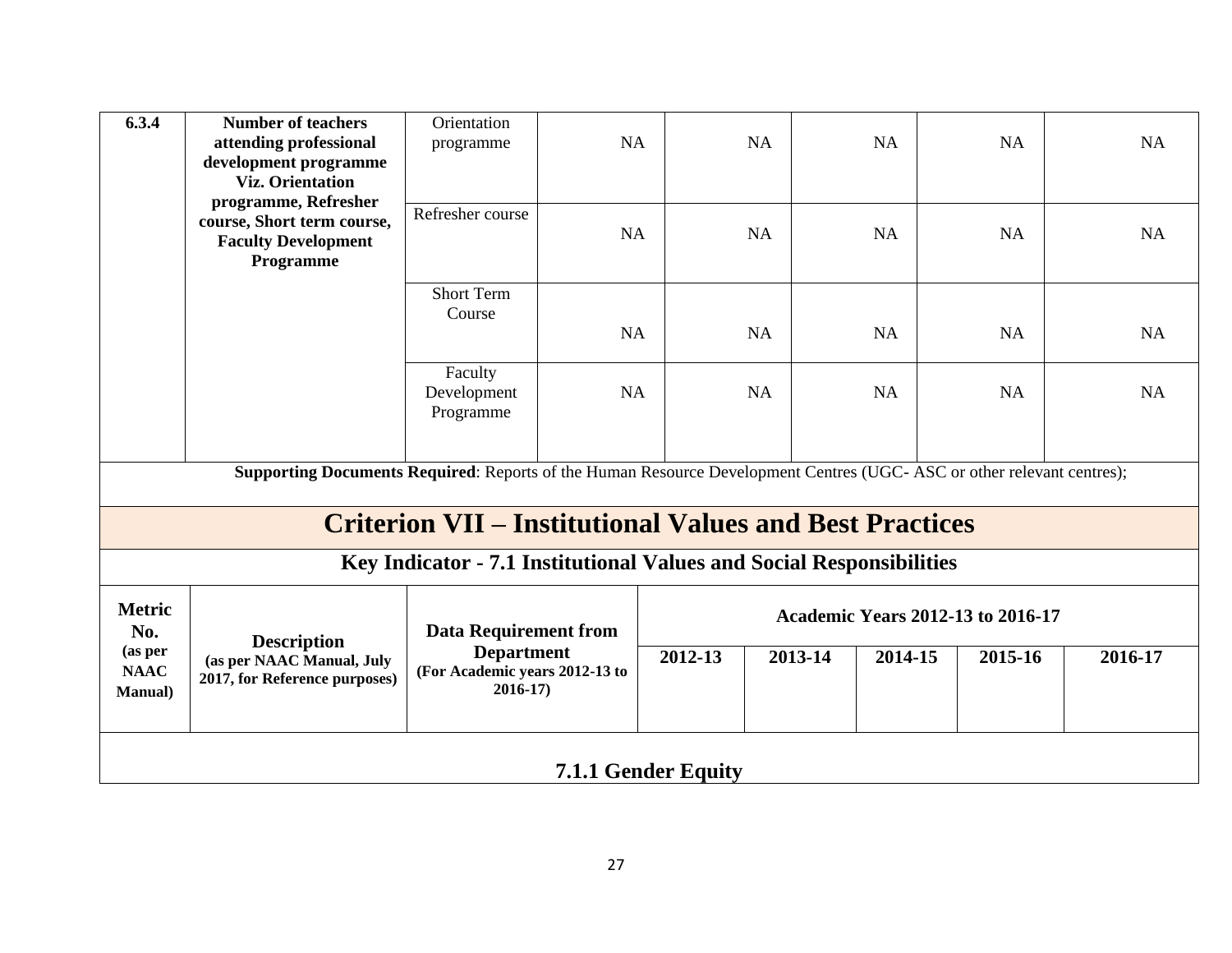| 6.3.4                                                                                                                 | <b>Number of teachers</b><br>attending professional<br>development programme<br><b>Viz. Orientation</b> | Orientation<br>programme                                             | NA        |         | <b>NA</b> | NA                 | <b>NA</b>                                | NA        |
|-----------------------------------------------------------------------------------------------------------------------|---------------------------------------------------------------------------------------------------------|----------------------------------------------------------------------|-----------|---------|-----------|--------------------|------------------------------------------|-----------|
|                                                                                                                       | programme, Refresher<br>course, Short term course,<br><b>Faculty Development</b><br>Programme           | Refresher course                                                     | NA        |         | <b>NA</b> | <b>NA</b>          | <b>NA</b>                                | NA        |
|                                                                                                                       |                                                                                                         | <b>Short Term</b><br>Course                                          | <b>NA</b> |         | <b>NA</b> | <b>NA</b>          | <b>NA</b>                                | <b>NA</b> |
|                                                                                                                       |                                                                                                         | Faculty<br>Development<br>Programme                                  | <b>NA</b> |         | NA        | NA                 | NA                                       | NA        |
| Supporting Documents Required: Reports of the Human Resource Development Centres (UGC-ASC or other relevant centres); |                                                                                                         |                                                                      |           |         |           |                    |                                          |           |
|                                                                                                                       | <b>Criterion VII – Institutional Values and Best Practices</b>                                          |                                                                      |           |         |           |                    |                                          |           |
|                                                                                                                       |                                                                                                         | Key Indicator - 7.1 Institutional Values and Social Responsibilities |           |         |           |                    |                                          |           |
| <b>Metric</b><br>No.                                                                                                  | <b>Description</b>                                                                                      | <b>Data Requirement from</b>                                         |           |         |           |                    | <b>Academic Years 2012-13 to 2016-17</b> |           |
| (as per<br><b>NAAC</b><br><b>Manual</b> )                                                                             | (as per NAAC Manual, July<br>2017, for Reference purposes)                                              | <b>Department</b><br>(For Academic years 2012-13 to<br>$2016 - 17$   |           | 2012-13 |           | 2013-14<br>2014-15 | 2015-16                                  | 2016-17   |
| <b>7.1.1 Gender Equity</b>                                                                                            |                                                                                                         |                                                                      |           |         |           |                    |                                          |           |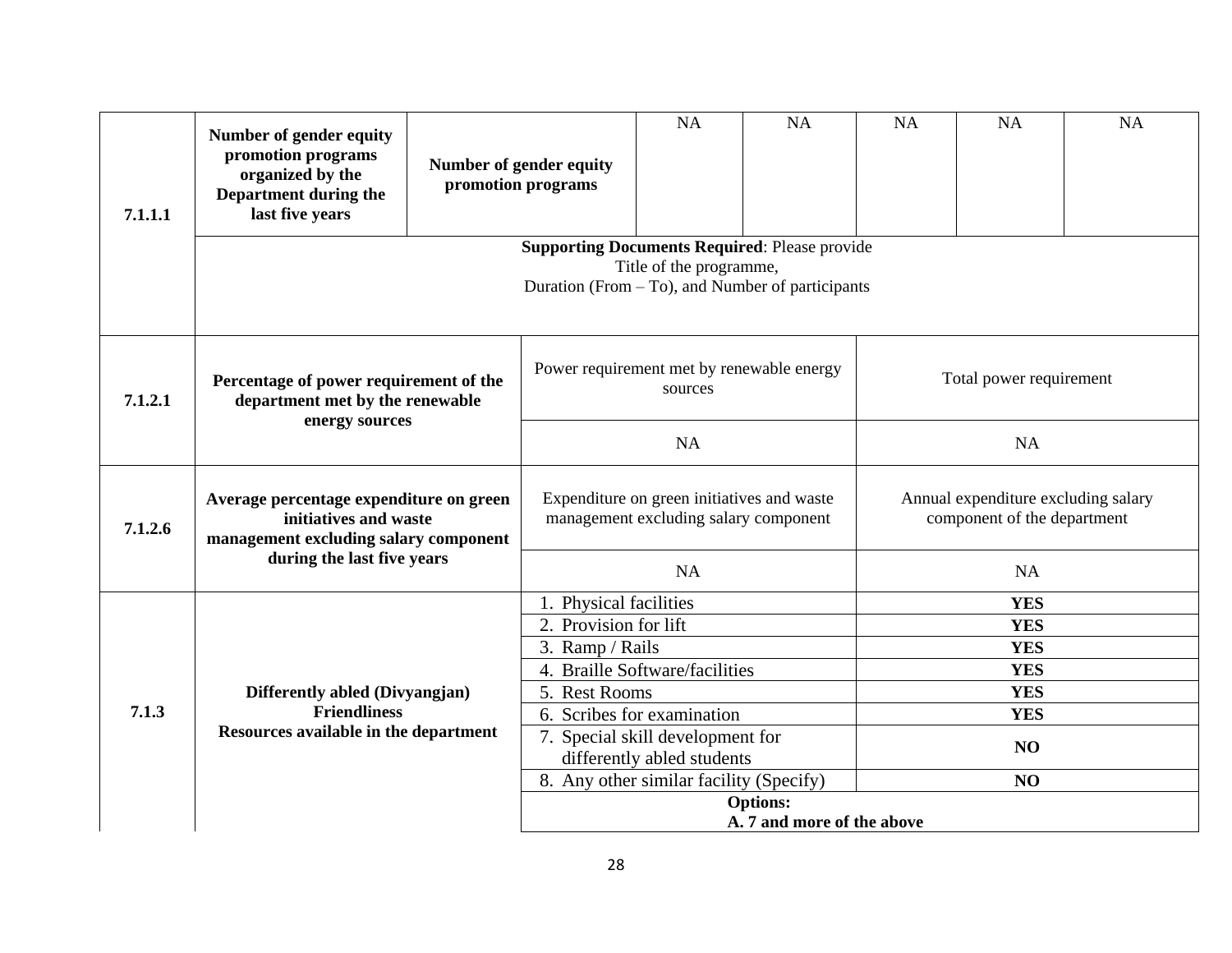| 7.1.1.1                                                                              | Number of gender equity<br>promotion programs<br>organized by the<br>Department during the<br>last five years                           | Number of gender equity<br>promotion programs |                                                   | NA                                                                                  | NA | NA                      | <b>NA</b>                                                          | NA |  |  |
|--------------------------------------------------------------------------------------|-----------------------------------------------------------------------------------------------------------------------------------------|-----------------------------------------------|---------------------------------------------------|-------------------------------------------------------------------------------------|----|-------------------------|--------------------------------------------------------------------|----|--|--|
|                                                                                      |                                                                                                                                         |                                               |                                                   |                                                                                     |    |                         |                                                                    |    |  |  |
| Percentage of power requirement of the<br>7.1.2.1<br>department met by the renewable |                                                                                                                                         |                                               | Power requirement met by renewable energy         | sources                                                                             |    | Total power requirement |                                                                    |    |  |  |
|                                                                                      | energy sources                                                                                                                          |                                               |                                                   | <b>NA</b>                                                                           |    | NA                      |                                                                    |    |  |  |
| 7.1.2.6                                                                              | Average percentage expenditure on green<br>initiatives and waste<br>management excluding salary component<br>during the last five years |                                               |                                                   | Expenditure on green initiatives and waste<br>management excluding salary component |    |                         | Annual expenditure excluding salary<br>component of the department |    |  |  |
|                                                                                      |                                                                                                                                         |                                               |                                                   | <b>NA</b>                                                                           |    | NA                      |                                                                    |    |  |  |
|                                                                                      |                                                                                                                                         |                                               | 1. Physical facilities                            |                                                                                     |    | <b>YES</b>              |                                                                    |    |  |  |
|                                                                                      |                                                                                                                                         |                                               | 2. Provision for lift                             |                                                                                     |    | <b>YES</b>              |                                                                    |    |  |  |
| 7.1.3                                                                                |                                                                                                                                         |                                               | 3. Ramp / Rails<br>4. Braille Software/facilities |                                                                                     |    | <b>YES</b>              |                                                                    |    |  |  |
|                                                                                      | Differently abled (Divyangjan)                                                                                                          |                                               | 5. Rest Rooms                                     |                                                                                     |    |                         | <b>YES</b><br><b>YES</b>                                           |    |  |  |
|                                                                                      | <b>Friendliness</b>                                                                                                                     |                                               |                                                   | 6. Scribes for examination                                                          |    |                         | <b>YES</b>                                                         |    |  |  |
|                                                                                      | Resources available in the department                                                                                                   |                                               |                                                   | 7. Special skill development for                                                    |    |                         |                                                                    |    |  |  |
|                                                                                      |                                                                                                                                         |                                               | differently abled students                        |                                                                                     |    | NO                      |                                                                    |    |  |  |
|                                                                                      |                                                                                                                                         |                                               | 8. Any other similar facility (Specify)           |                                                                                     |    | NO                      |                                                                    |    |  |  |
|                                                                                      |                                                                                                                                         |                                               | <b>Options:</b>                                   |                                                                                     |    |                         |                                                                    |    |  |  |
|                                                                                      |                                                                                                                                         |                                               | A. 7 and more of the above                        |                                                                                     |    |                         |                                                                    |    |  |  |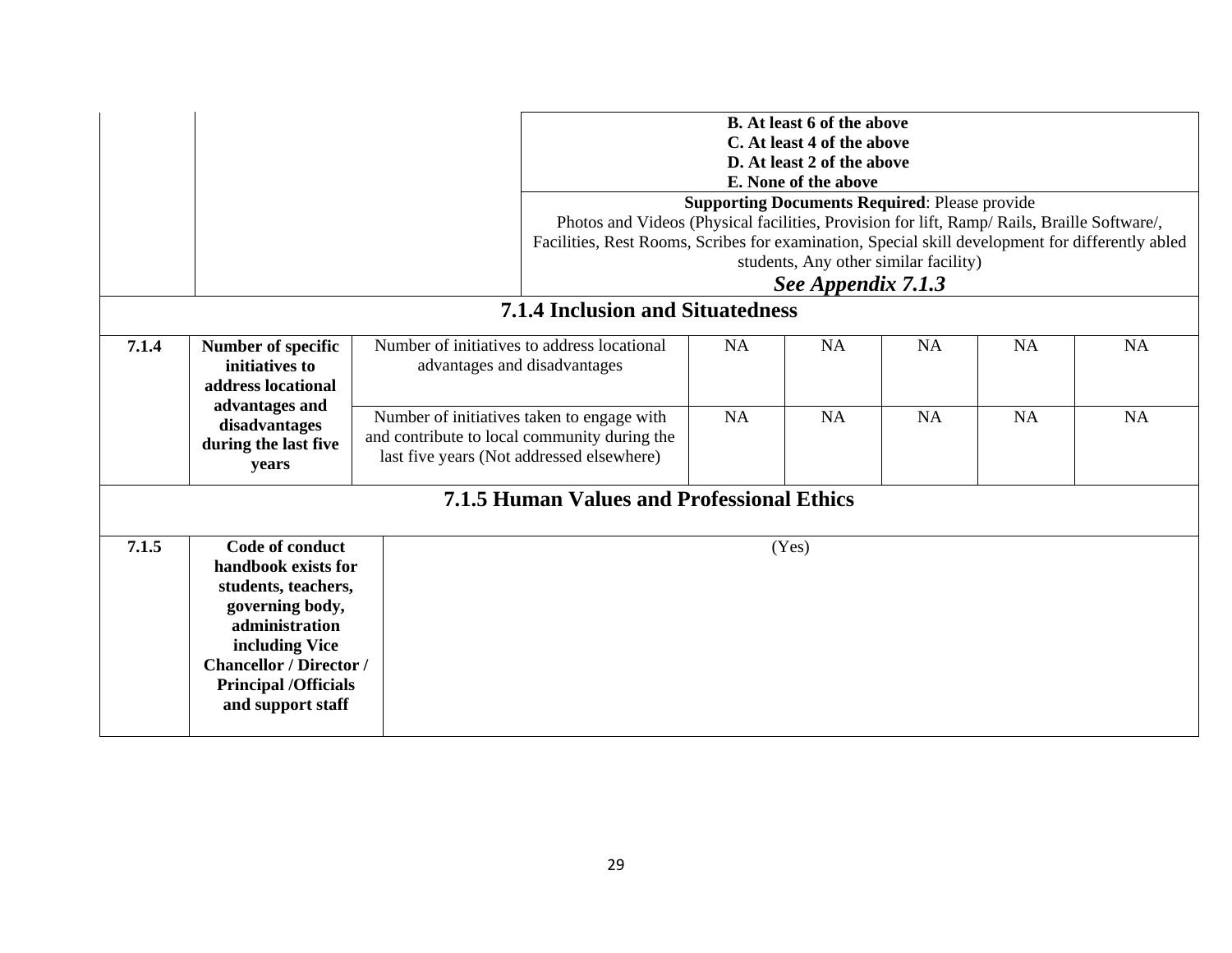|                                                                  |                                                                                                                                                                                                            |  | <b>B.</b> At least 6 of the above<br>C. At least 4 of the above<br>D. At least 2 of the above<br>E. None of the above<br><b>Supporting Documents Required: Please provide</b><br>Photos and Videos (Physical facilities, Provision for lift, Ramp/ Rails, Braille Software/,<br>Facilities, Rest Rooms, Scribes for examination, Special skill development for differently abled<br>students, Any other similar facility)<br>See Appendix 7.1.3 |                                         |           |           |           |           |  |  |
|------------------------------------------------------------------|------------------------------------------------------------------------------------------------------------------------------------------------------------------------------------------------------------|--|-------------------------------------------------------------------------------------------------------------------------------------------------------------------------------------------------------------------------------------------------------------------------------------------------------------------------------------------------------------------------------------------------------------------------------------------------|-----------------------------------------|-----------|-----------|-----------|-----------|--|--|
|                                                                  |                                                                                                                                                                                                            |  |                                                                                                                                                                                                                                                                                                                                                                                                                                                 | <b>7.1.4 Inclusion and Situatedness</b> |           |           |           |           |  |  |
| 7.1.4                                                            | Number of specific<br>initiatives to<br>address locational                                                                                                                                                 |  | Number of initiatives to address locational<br>advantages and disadvantages                                                                                                                                                                                                                                                                                                                                                                     |                                         | <b>NA</b> | <b>NA</b> | <b>NA</b> | <b>NA</b> |  |  |
| advantages and<br>disadvantages<br>during the last five<br>years |                                                                                                                                                                                                            |  | Number of initiatives taken to engage with<br>and contribute to local community during the<br>last five years (Not addressed elsewhere)                                                                                                                                                                                                                                                                                                         | <b>NA</b>                               | <b>NA</b> | <b>NA</b> | <b>NA</b> | <b>NA</b> |  |  |
| <b>7.1.5 Human Values and Professional Ethics</b>                |                                                                                                                                                                                                            |  |                                                                                                                                                                                                                                                                                                                                                                                                                                                 |                                         |           |           |           |           |  |  |
| 7.1.5                                                            | Code of conduct<br>handbook exists for<br>students, teachers,<br>governing body,<br>administration<br>including Vice<br><b>Chancellor / Director /</b><br><b>Principal /Officials</b><br>and support staff |  |                                                                                                                                                                                                                                                                                                                                                                                                                                                 |                                         | (Yes)     |           |           |           |  |  |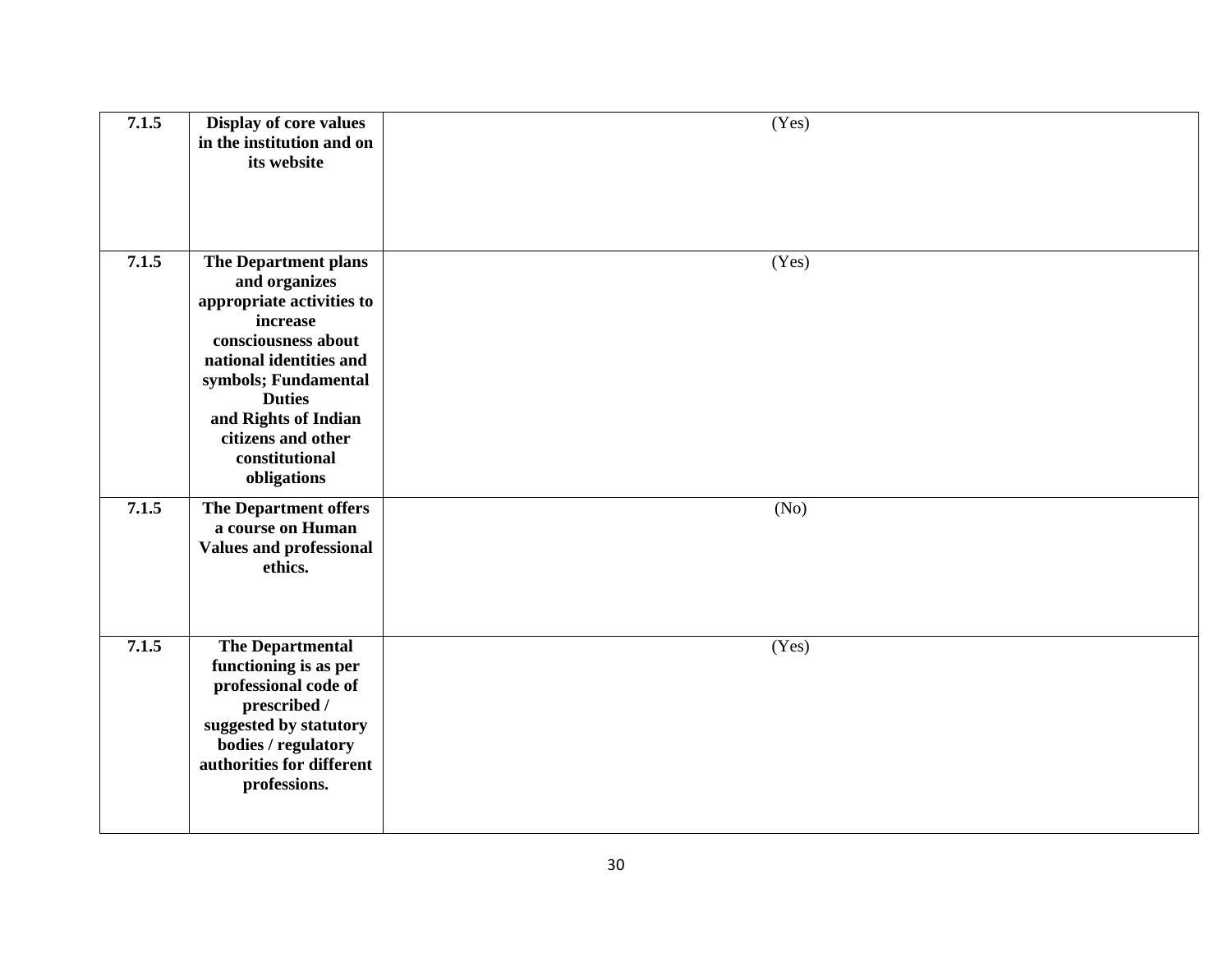| 7.1.5 | <b>Display of core values</b><br>in the institution and on<br>its website                                                                                                                                                                                | (Yes) |
|-------|----------------------------------------------------------------------------------------------------------------------------------------------------------------------------------------------------------------------------------------------------------|-------|
| 7.1.5 | The Department plans<br>and organizes<br>appropriate activities to<br>increase<br>consciousness about<br>national identities and<br>symbols; Fundamental<br><b>Duties</b><br>and Rights of Indian<br>citizens and other<br>constitutional<br>obligations | (Yes) |
| 7.1.5 | The Department offers<br>a course on Human<br><b>Values and professional</b><br>ethics.                                                                                                                                                                  | (No)  |
| 7.1.5 | The Departmental<br>functioning is as per<br>professional code of<br>prescribed /<br>suggested by statutory<br>bodies / regulatory<br>authorities for different<br>professions.                                                                          | (Yes) |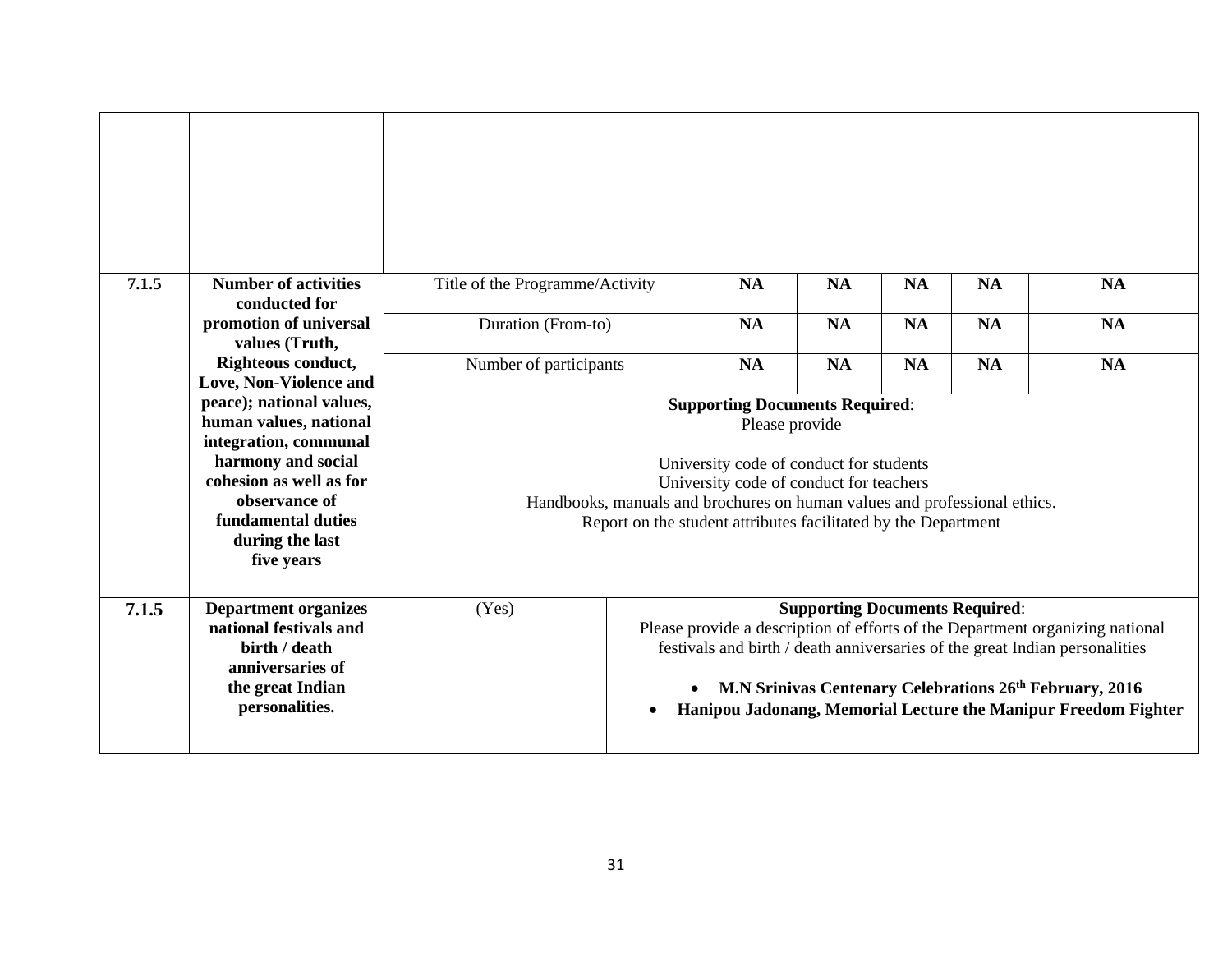| 7.1.5 | <b>Number of activities</b><br>conducted for                                                                                                                                                         | Title of the Programme/Activity                                                                                                                                                                                                                                                              | <b>NA</b>                                                                                                                                                                                                                                                                                                                                                                | <b>NA</b> | <b>NA</b> | <b>NA</b> | <b>NA</b> |
|-------|------------------------------------------------------------------------------------------------------------------------------------------------------------------------------------------------------|----------------------------------------------------------------------------------------------------------------------------------------------------------------------------------------------------------------------------------------------------------------------------------------------|--------------------------------------------------------------------------------------------------------------------------------------------------------------------------------------------------------------------------------------------------------------------------------------------------------------------------------------------------------------------------|-----------|-----------|-----------|-----------|
|       | promotion of universal<br>values (Truth,                                                                                                                                                             | Duration (From-to)                                                                                                                                                                                                                                                                           | <b>NA</b>                                                                                                                                                                                                                                                                                                                                                                | <b>NA</b> | <b>NA</b> | <b>NA</b> | <b>NA</b> |
|       | Righteous conduct,<br>Love, Non-Violence and                                                                                                                                                         | Number of participants                                                                                                                                                                                                                                                                       | <b>NA</b>                                                                                                                                                                                                                                                                                                                                                                | <b>NA</b> | <b>NA</b> | <b>NA</b> | <b>NA</b> |
|       | peace); national values,<br>human values, national<br>integration, communal<br>harmony and social<br>cohesion as well as for<br>observance of<br>fundamental duties<br>during the last<br>five years | <b>Supporting Documents Required:</b><br>Please provide<br>University code of conduct for students<br>University code of conduct for teachers<br>Handbooks, manuals and brochures on human values and professional ethics.<br>Report on the student attributes facilitated by the Department |                                                                                                                                                                                                                                                                                                                                                                          |           |           |           |           |
| 7.1.5 | <b>Department organizes</b><br>national festivals and<br>birth / death<br>anniversaries of<br>the great Indian<br>personalities.                                                                     | (Yes)                                                                                                                                                                                                                                                                                        | <b>Supporting Documents Required:</b><br>Please provide a description of efforts of the Department organizing national<br>festivals and birth / death anniversaries of the great Indian personalities<br>M.N Srinivas Centenary Celebrations 26 <sup>th</sup> February, 2016<br>$\bullet$<br>Hanipou Jadonang, Memorial Lecture the Manipur Freedom Fighter<br>$\bullet$ |           |           |           |           |